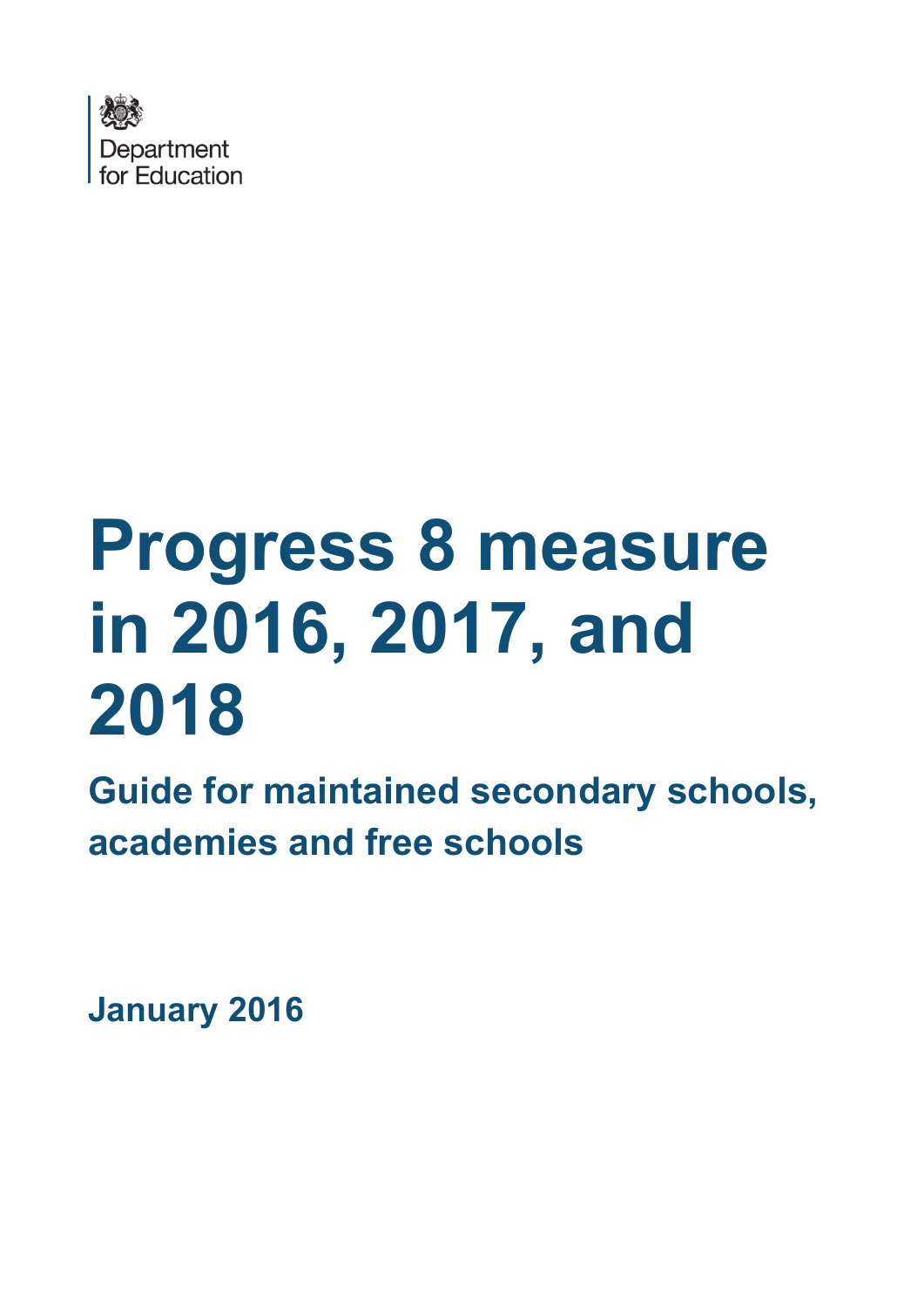

# **Progress 8 measure in 2016, 2017, and 2018**

**Guide for maintained secondary schools, academies and free schools**

**January 2016**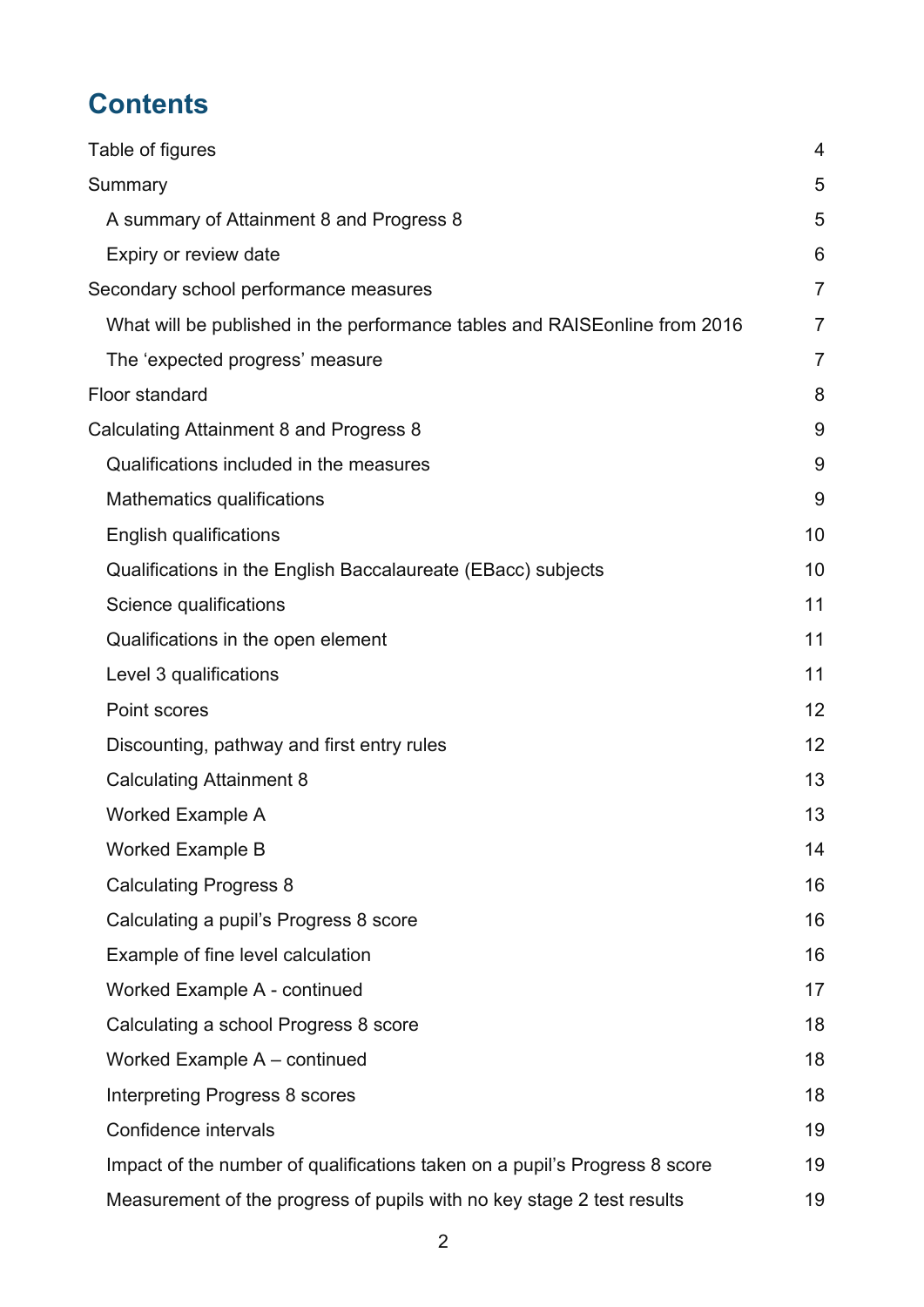# **Contents**

| Table of figures                                                            | 4              |
|-----------------------------------------------------------------------------|----------------|
| Summary                                                                     | 5              |
| A summary of Attainment 8 and Progress 8                                    | 5              |
| Expiry or review date                                                       | 6              |
| Secondary school performance measures                                       | $\overline{7}$ |
| What will be published in the performance tables and RAISE online from 2016 | 7              |
| The 'expected progress' measure                                             | $\overline{7}$ |
| Floor standard                                                              | 8              |
| Calculating Attainment 8 and Progress 8                                     | 9              |
| Qualifications included in the measures                                     | 9              |
| Mathematics qualifications                                                  | 9              |
| <b>English qualifications</b>                                               | 10             |
| Qualifications in the English Baccalaureate (EBacc) subjects                | 10             |
| Science qualifications                                                      | 11             |
| Qualifications in the open element                                          | 11             |
| Level 3 qualifications                                                      | 11             |
| Point scores                                                                | 12             |
| Discounting, pathway and first entry rules                                  | 12             |
| <b>Calculating Attainment 8</b>                                             | 13             |
| <b>Worked Example A</b>                                                     | 13             |
| <b>Worked Example B</b>                                                     | 14             |
| <b>Calculating Progress 8</b>                                               | 16             |
| Calculating a pupil's Progress 8 score                                      | 16             |
| Example of fine level calculation                                           | 16             |
| Worked Example A - continued                                                | 17             |
| Calculating a school Progress 8 score                                       | 18             |
| Worked Example A - continued                                                | 18             |
| Interpreting Progress 8 scores                                              | 18             |
| Confidence intervals                                                        | 19             |
| Impact of the number of qualifications taken on a pupil's Progress 8 score  | 19             |
| Measurement of the progress of pupils with no key stage 2 test results      | 19             |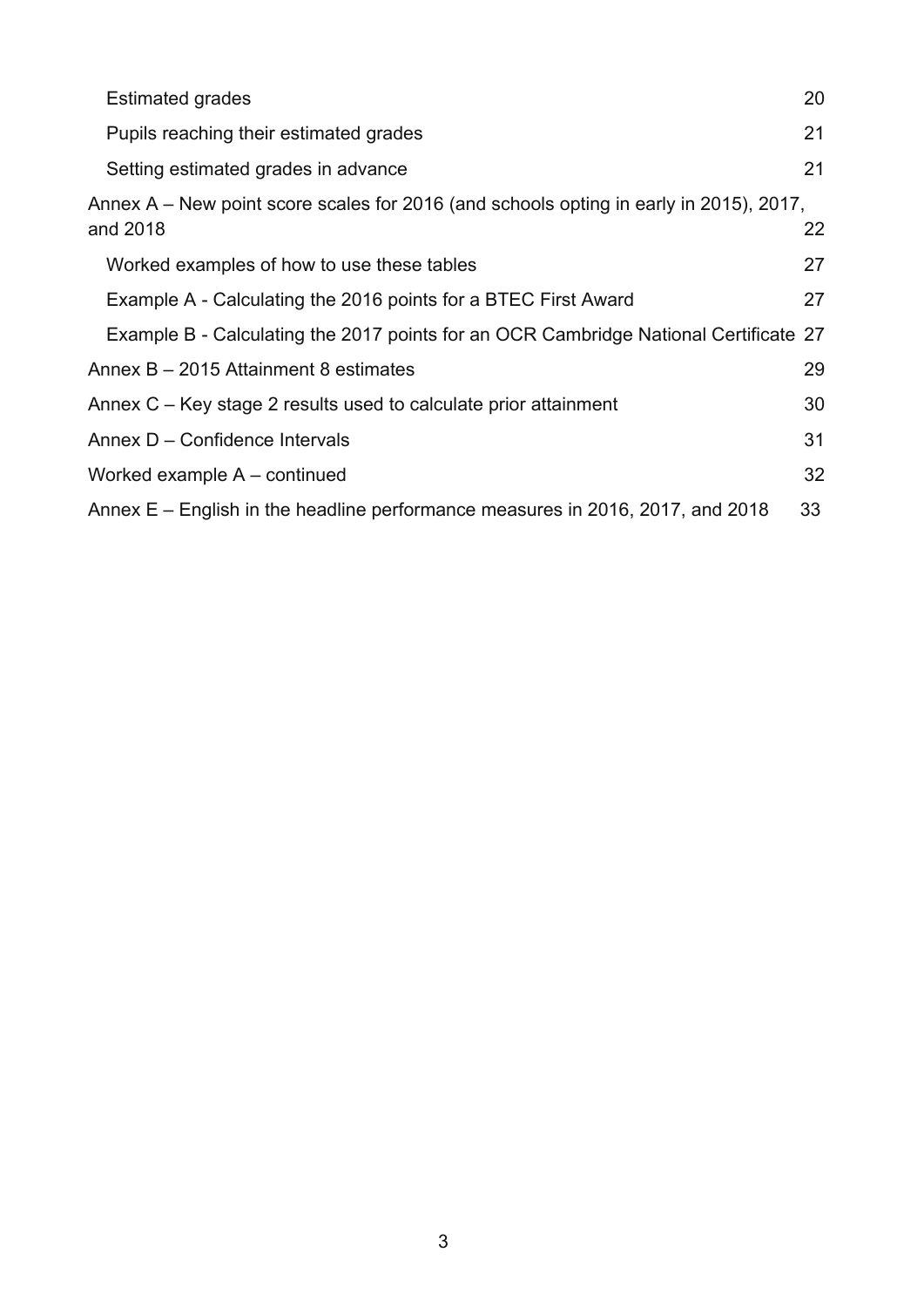| <b>Estimated grades</b>                                                                            | 20 |
|----------------------------------------------------------------------------------------------------|----|
| Pupils reaching their estimated grades                                                             | 21 |
| Setting estimated grades in advance                                                                | 21 |
| Annex A – New point score scales for 2016 (and schools opting in early in 2015), 2017,<br>and 2018 | 22 |
| Worked examples of how to use these tables                                                         | 27 |
| Example A - Calculating the 2016 points for a BTEC First Award                                     | 27 |
| Example B - Calculating the 2017 points for an OCR Cambridge National Certificate 27               |    |
| Annex B - 2015 Attainment 8 estimates                                                              | 29 |
| Annex C – Key stage 2 results used to calculate prior attainment                                   | 30 |
| Annex D - Confidence Intervals                                                                     | 31 |
| Worked example A – continued                                                                       | 32 |
| Annex E – English in the headline performance measures in 2016, 2017, and 2018                     | 33 |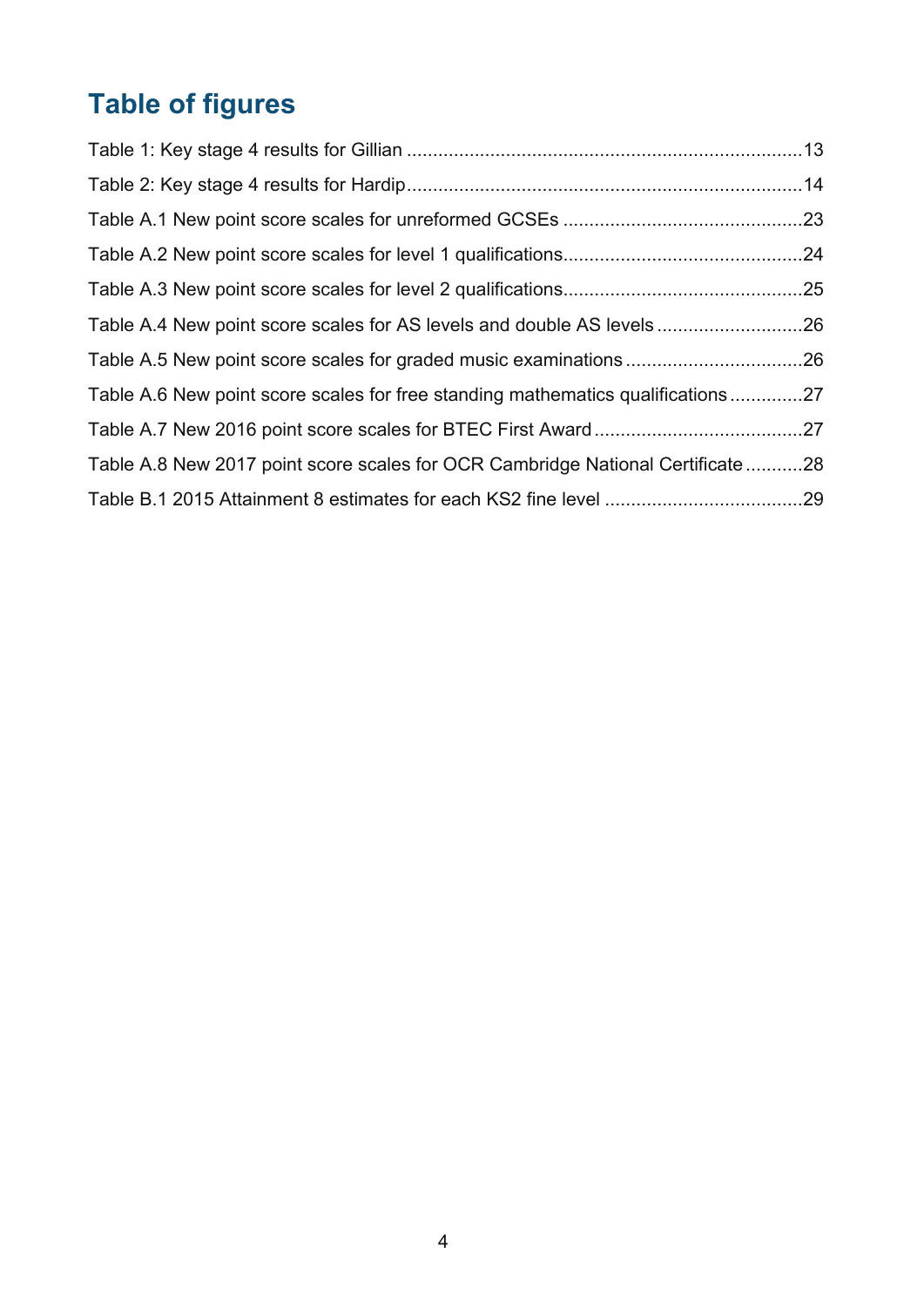# <span id="page-3-0"></span>**Table of figures**

| Table A.4 New point score scales for AS levels and double AS levels26           |  |
|---------------------------------------------------------------------------------|--|
|                                                                                 |  |
| Table A.6 New point score scales for free standing mathematics qualifications27 |  |
|                                                                                 |  |
| Table A.8 New 2017 point score scales for OCR Cambridge National Certificate 28 |  |
|                                                                                 |  |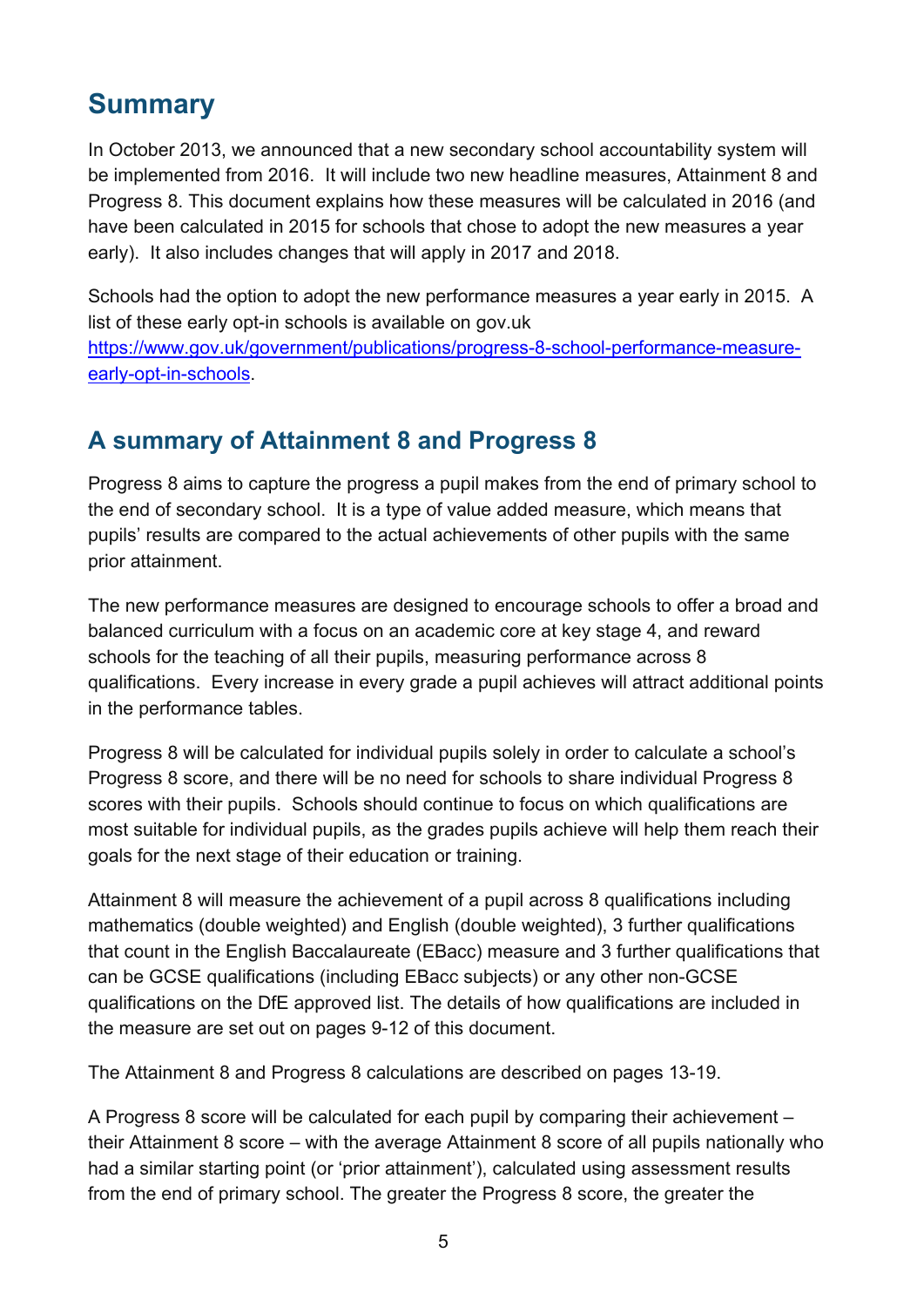# <span id="page-4-0"></span>**Summary**

In October 2013, we announced that a new secondary school accountability system will be implemented from 2016. It will include two new headline measures, Attainment 8 and Progress 8. This document explains how these measures will be calculated in 2016 (and have been calculated in 2015 for schools that chose to adopt the new measures a year early). It also includes changes that will apply in 2017 and 2018.

Schools had the option to adopt the new performance measures a year early in 2015. A list of these early opt-in schools is available on gov.uk [https://www.gov.uk/government/publications/progress-8-school-performance-measure](https://www.gov.uk/government/publications/progress-8-school-performance-measure-early-opt-in-schools)[early-opt-in-schools.](https://www.gov.uk/government/publications/progress-8-school-performance-measure-early-opt-in-schools)

## <span id="page-4-1"></span>**A summary of Attainment 8 and Progress 8**

Progress 8 aims to capture the progress a pupil makes from the end of primary school to the end of secondary school. It is a type of value added measure, which means that pupils' results are compared to the actual achievements of other pupils with the same prior attainment.

The new performance measures are designed to encourage schools to offer a broad and balanced curriculum with a focus on an academic core at key stage 4, and reward schools for the teaching of all their pupils, measuring performance across 8 qualifications. Every increase in every grade a pupil achieves will attract additional points in the performance tables.

Progress 8 will be calculated for individual pupils solely in order to calculate a school's Progress 8 score, and there will be no need for schools to share individual Progress 8 scores with their pupils. Schools should continue to focus on which qualifications are most suitable for individual pupils, as the grades pupils achieve will help them reach their goals for the next stage of their education or training.

Attainment 8 will measure the achievement of a pupil across 8 qualifications including mathematics (double weighted) and English (double weighted), 3 further qualifications that count in the English Baccalaureate (EBacc) measure and 3 further qualifications that can be GCSE qualifications (including EBacc subjects) or any other non-GCSE qualifications on the DfE approved list. The details of how qualifications are included in the measure are set out on pages 9-12 of this document.

The Attainment 8 and Progress 8 calculations are described on pages 13-19.

A Progress 8 score will be calculated for each pupil by comparing their achievement – their Attainment 8 score – with the average Attainment 8 score of all pupils nationally who had a similar starting point (or 'prior attainment'), calculated using assessment results from the end of primary school. The greater the Progress 8 score, the greater the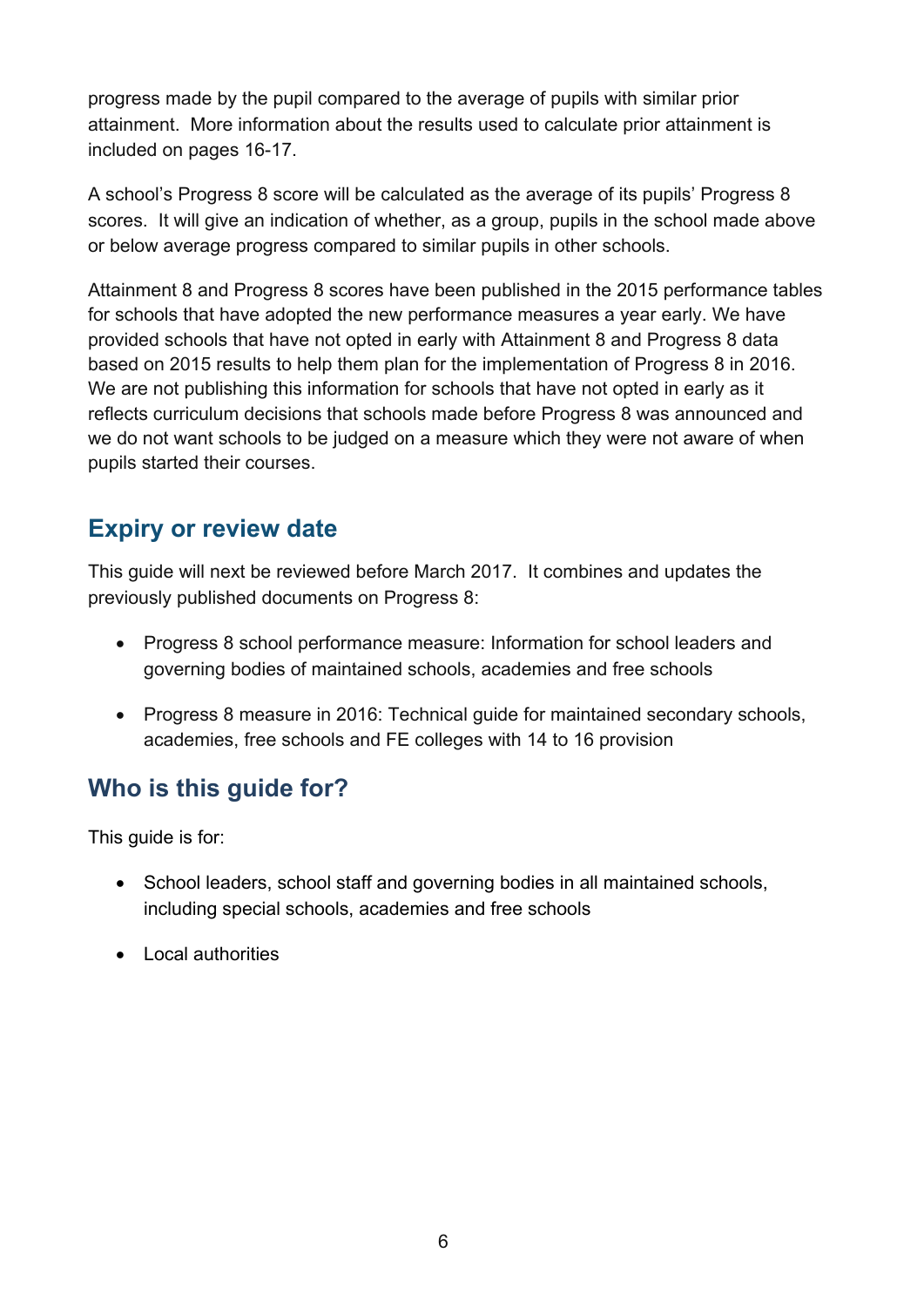progress made by the pupil compared to the average of pupils with similar prior attainment. More information about the results used to calculate prior attainment is included on pages 16-17.

A school's Progress 8 score will be calculated as the average of its pupils' Progress 8 scores. It will give an indication of whether, as a group, pupils in the school made above or below average progress compared to similar pupils in other schools.

Attainment 8 and Progress 8 scores have been published in the 2015 performance tables for schools that have adopted the new performance measures a year early. We have provided schools that have not opted in early with Attainment 8 and Progress 8 data based on 2015 results to help them plan for the implementation of Progress 8 in 2016. We are not publishing this information for schools that have not opted in early as it reflects curriculum decisions that schools made before Progress 8 was announced and we do not want schools to be judged on a measure which they were not aware of when pupils started their courses.

#### <span id="page-5-0"></span>**Expiry or review date**

This guide will next be reviewed before March 2017. It combines and updates the previously published documents on Progress 8:

- Progress 8 school performance measure: Information for school leaders and governing bodies of maintained schools, academies and free schools
- Progress 8 measure in 2016: Technical guide for maintained secondary schools, academies, free schools and FE colleges with 14 to 16 provision

## **Who is this guide for?**

This guide is for:

- School leaders, school staff and governing bodies in all maintained schools, including special schools, academies and free schools
- Local authorities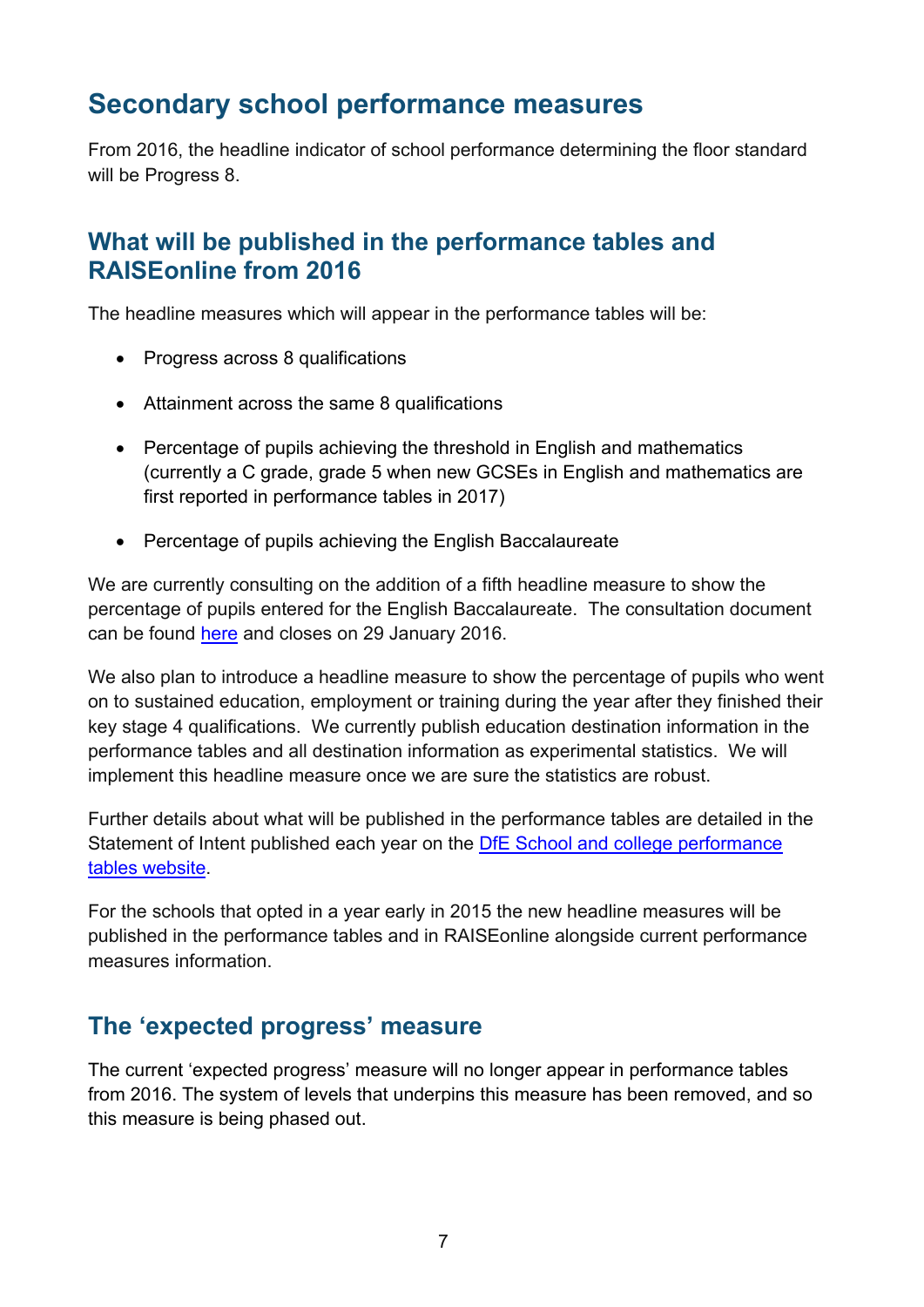## <span id="page-6-0"></span>**Secondary school performance measures**

From 2016, the headline indicator of school performance determining the floor standard will be Progress 8.

## <span id="page-6-1"></span>**What will be published in the performance tables and RAISEonline from 2016**

The headline measures which will appear in the performance tables will be:

- Progress across 8 qualifications
- Attainment across the same 8 qualifications
- Percentage of pupils achieving the threshold in English and mathematics (currently a C grade, grade 5 when new GCSEs in English and mathematics are first reported in performance tables in 2017)
- Percentage of pupils achieving the English Baccalaureate

We are currently consulting on the addition of a fifth headline measure to show the percentage of pupils entered for the English Baccalaureate. The consultation document can be found [here](https://www.gov.uk/government/consultations/implementing-the-english-baccalaureate) and closes on 29 January 2016.

We also plan to introduce a headline measure to show the percentage of pupils who went on to sustained education, employment or training during the year after they finished their key stage 4 qualifications. We currently publish education destination information in the performance tables and all destination information as experimental statistics. We will implement this headline measure once we are sure the statistics are robust.

Further details about what will be published in the performance tables are detailed in the Statement of Intent published each year on the [DfE School and college performance](http://www.education.gov.uk/schools/performance)  [tables website.](http://www.education.gov.uk/schools/performance)

For the schools that opted in a year early in 2015 the new headline measures will be published in the performance tables and in RAISEonline alongside current performance measures information.

## <span id="page-6-2"></span>**The 'expected progress' measure**

The current 'expected progress' measure will no longer appear in performance tables from 2016. The system of levels that underpins this measure has been removed, and so this measure is being phased out.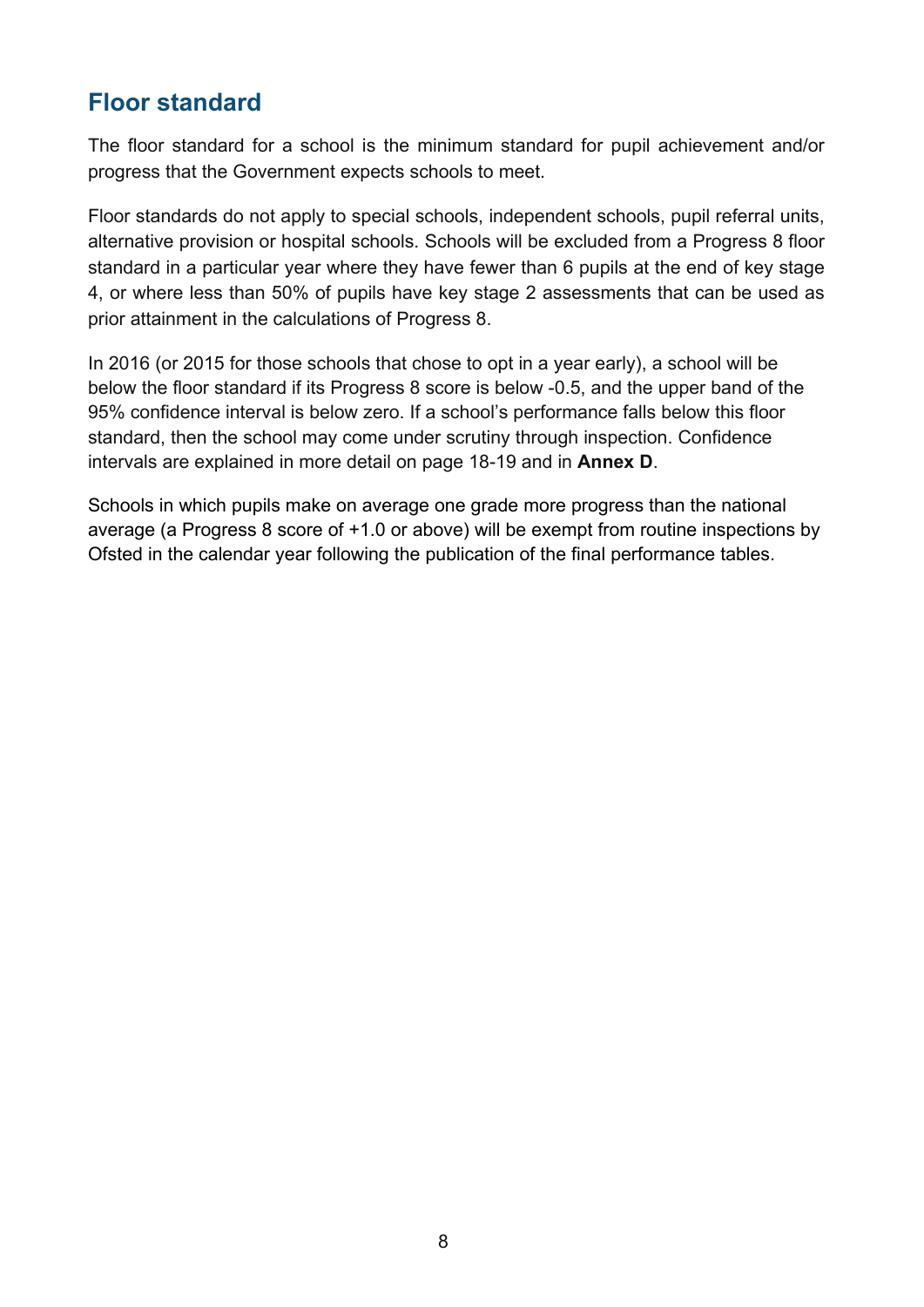## <span id="page-7-0"></span>**Floor standard**

The floor standard for a school is the minimum standard for pupil achievement and/or progress that the Government expects schools to meet.

Floor standards do not apply to special schools, independent schools, pupil referral units, alternative provision or hospital schools. Schools will be excluded from a Progress 8 floor standard in a particular year where they have fewer than 6 pupils at the end of key stage 4, or where less than 50% of pupils have key stage 2 assessments that can be used as prior attainment in the calculations of Progress 8.

In 2016 (or 2015 for those schools that chose to opt in a year early), a school will be below the floor standard if its Progress 8 score is below -0.5, and the upper band of the 95% confidence interval is below zero. If a school's performance falls below this floor standard, then the school may come under scrutiny through inspection. Confidence intervals are explained in more detail on page 18-19 and in **Annex D**.

Schools in which pupils make on average one grade more progress than the national average (a Progress 8 score of +1.0 or above) will be exempt from routine inspections by Ofsted in the calendar year following the publication of the final performance tables.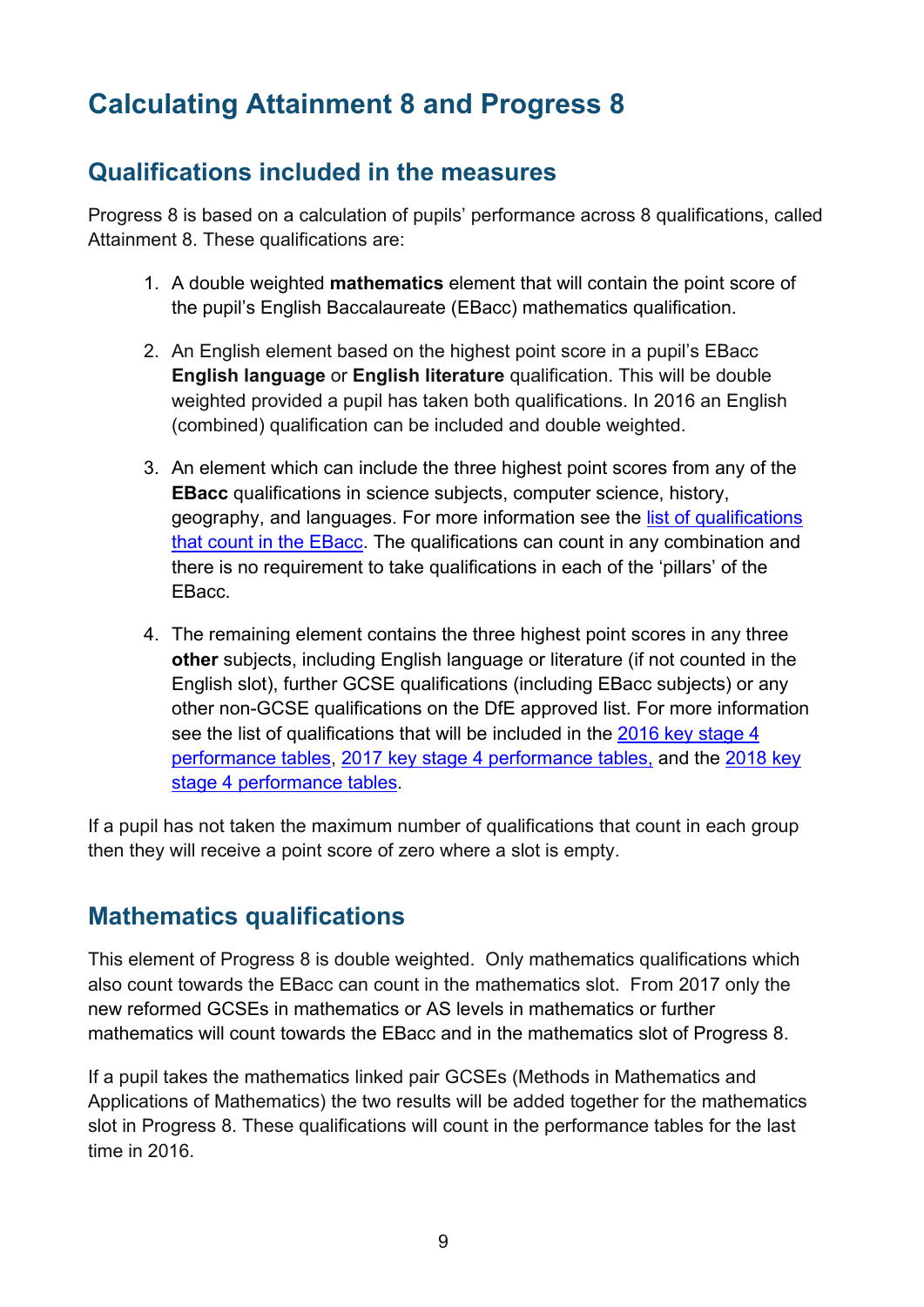# <span id="page-8-0"></span>**Calculating Attainment 8 and Progress 8**

## <span id="page-8-1"></span>**Qualifications included in the measures**

Progress 8 is based on a calculation of pupils' performance across 8 qualifications, called Attainment 8. These qualifications are:

- 1. A double weighted **mathematics** element that will contain the point score of the pupil's English Baccalaureate (EBacc) mathematics qualification.
- 2. An English element based on the highest point score in a pupil's EBacc **English language** or **English literature** qualification. This will be double weighted provided a pupil has taken both qualifications. In 2016 an English (combined) qualification can be included and double weighted.
- 3. An element which can include the three highest point scores from any of the **EBacc** qualifications in science subjects, computer science, history, geography, and languages. For more information see the [list of qualifications](http://www.education.gov.uk/schools/performance/secondary_14/documents.html)  [that count in the EBacc.](http://www.education.gov.uk/schools/performance/secondary_14/documents.html) The qualifications can count in any combination and there is no requirement to take qualifications in each of the 'pillars' of the EBacc.
- 4. The remaining element contains the three highest point scores in any three **other** subjects, including English language or literature (if not counted in the English slot), further GCSE qualifications (including EBacc subjects) or any other non-GCSE qualifications on the DfE approved list. For more information see the list of qualifications that will be included in the [2016 key stage 4](https://www.gov.uk/government/uploads/system/uploads/attachment_data/file/287489/2016_KS4_Publication_list_revised_March14.pdf)  [performance tables,](https://www.gov.uk/government/uploads/system/uploads/attachment_data/file/287489/2016_KS4_Publication_list_revised_March14.pdf) [2017 key stage 4 performance tables,](https://www.gov.uk/government/uploads/system/uploads/attachment_data/file/402358/Technical_Awards_2017_list.pdf) and the [2018 key](https://www.gov.uk/government/publications/2018-performance-tables-technical-and-vocational-qualifications)  [stage 4 performance tables.](https://www.gov.uk/government/publications/2018-performance-tables-technical-and-vocational-qualifications)

If a pupil has not taken the maximum number of qualifications that count in each group then they will receive a point score of zero where a slot is empty.

## <span id="page-8-2"></span>**Mathematics qualifications**

This element of Progress 8 is double weighted. Only mathematics qualifications which also count towards the EBacc can count in the mathematics slot. From 2017 only the new reformed GCSEs in mathematics or AS levels in mathematics or further mathematics will count towards the EBacc and in the mathematics slot of Progress 8.

If a pupil takes the mathematics linked pair GCSEs (Methods in Mathematics and Applications of Mathematics) the two results will be added together for the mathematics slot in Progress 8. These qualifications will count in the performance tables for the last time in 2016.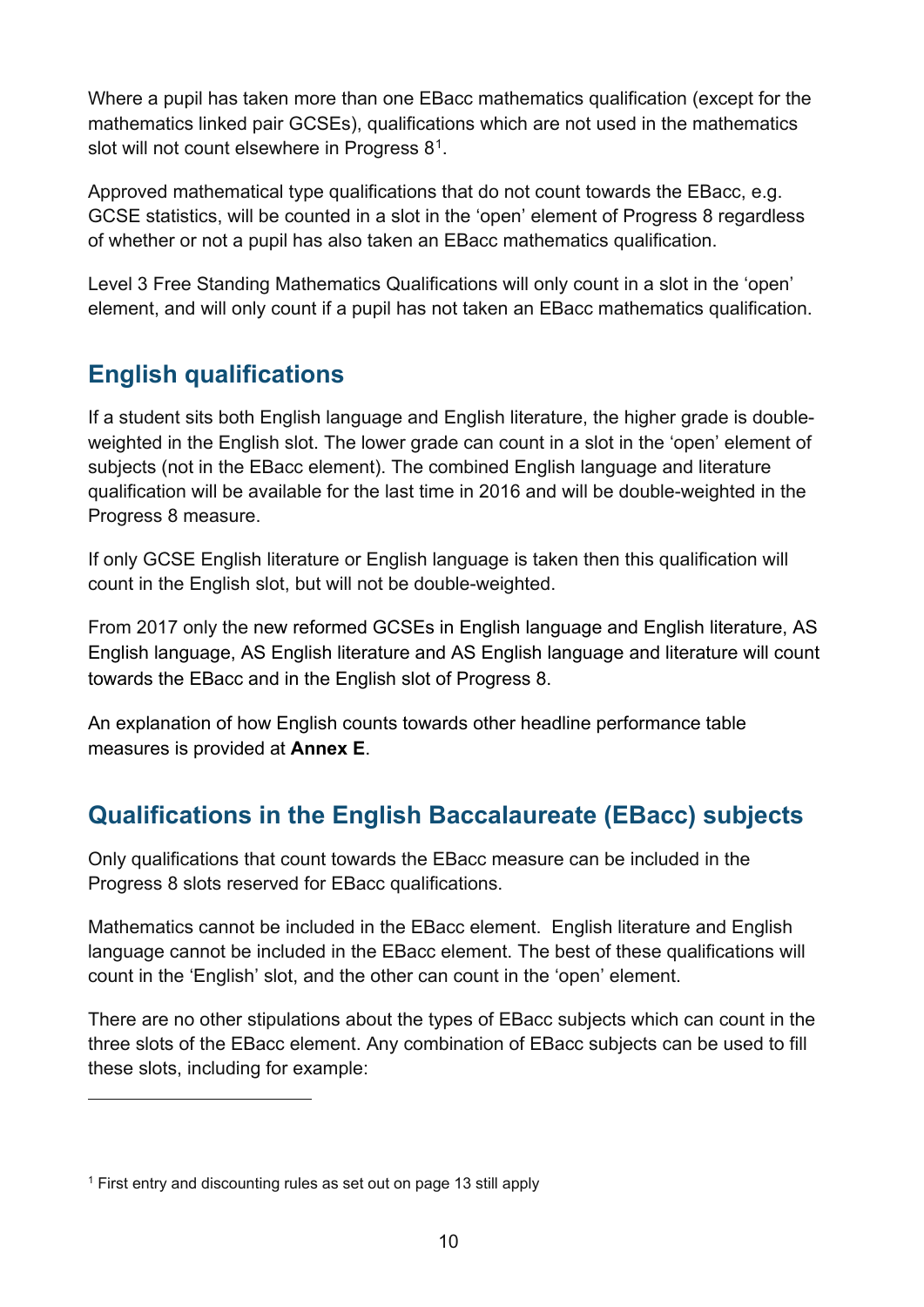Where a pupil has taken more than one EBacc mathematics qualification (except for the mathematics linked pair GCSEs), qualifications which are not used in the mathematics slot will not count elsewhere in Progress 8[1](#page-9-2).

Approved mathematical type qualifications that do not count towards the EBacc, e.g. GCSE statistics, will be counted in a slot in the 'open' element of Progress 8 regardless of whether or not a pupil has also taken an EBacc mathematics qualification.

Level 3 Free Standing Mathematics Qualifications will only count in a slot in the 'open' element, and will only count if a pupil has not taken an EBacc mathematics qualification.

## <span id="page-9-0"></span>**English qualifications**

If a student sits both English language and English literature, the higher grade is doubleweighted in the English slot. The lower grade can count in a slot in the 'open' element of subjects (not in the EBacc element). The combined English language and literature qualification will be available for the last time in 2016 and will be double-weighted in the Progress 8 measure.

If only GCSE English literature or English language is taken then this qualification will count in the English slot, but will not be double-weighted.

From 2017 only the new reformed GCSEs in English language and English literature, AS English language, AS English literature and AS English language and literature will count towards the EBacc and in the English slot of Progress 8.

An explanation of how English counts towards other headline performance table measures is provided at **Annex E**.

## <span id="page-9-1"></span>**Qualifications in the English Baccalaureate (EBacc) subjects**

Only qualifications that count towards the EBacc measure can be included in the Progress 8 slots reserved for EBacc qualifications.

Mathematics cannot be included in the EBacc element. English literature and English language cannot be included in the EBacc element. The best of these qualifications will count in the 'English' slot, and the other can count in the 'open' element.

There are no other stipulations about the types of EBacc subjects which can count in the three slots of the EBacc element. Any combination of EBacc subjects can be used to fill these slots, including for example:

 $\overline{a}$ 

<span id="page-9-2"></span><sup>1</sup> First entry and discounting rules as set out on page 13 still apply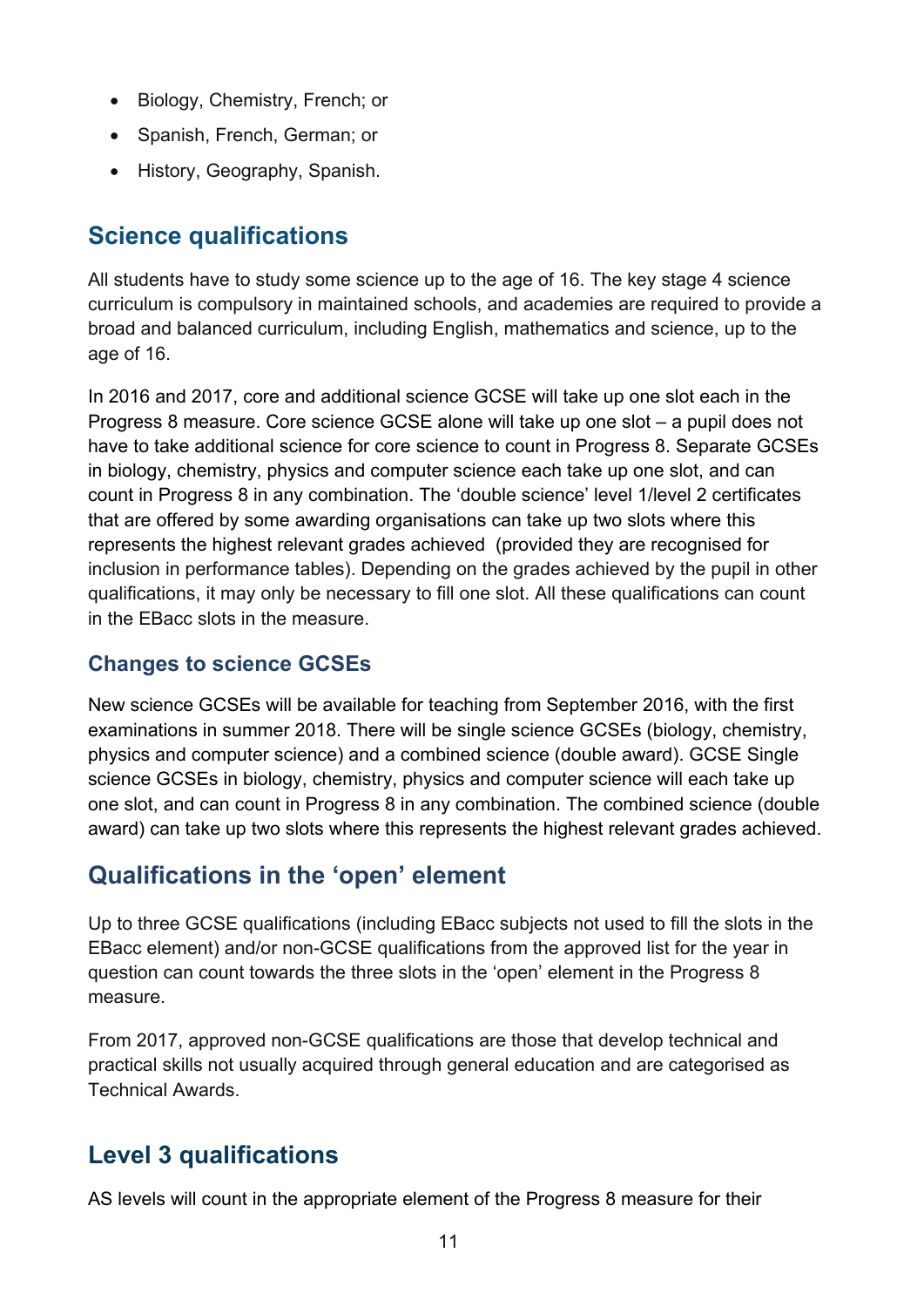- Biology, Chemistry, French; or
- Spanish, French, German; or
- History, Geography, Spanish.

#### <span id="page-10-0"></span>**Science qualifications**

All students have to study some science up to the age of 16. The key stage 4 science curriculum is compulsory in maintained schools, and academies are required to provide a broad and balanced curriculum, including English, mathematics and science, up to the age of 16.

In 2016 and 2017, core and additional science GCSE will take up one slot each in the Progress 8 measure. Core science GCSE alone will take up one slot – a pupil does not have to take additional science for core science to count in Progress 8. Separate GCSEs in biology, chemistry, physics and computer science each take up one slot, and can count in Progress 8 in any combination. The 'double science' level 1/level 2 certificates that are offered by some awarding organisations can take up two slots where this represents the highest relevant grades achieved (provided they are recognised for inclusion in performance tables). Depending on the grades achieved by the pupil in other qualifications, it may only be necessary to fill one slot. All these qualifications can count in the EBacc slots in the measure.

#### **Changes to science GCSEs**

New science GCSEs will be available for teaching from September 2016, with the first examinations in summer 2018. There will be single science GCSEs (biology, chemistry, physics and computer science) and a combined science (double award). GCSE Single science GCSEs in biology, chemistry, physics and computer science will each take up one slot, and can count in Progress 8 in any combination. The combined science (double award) can take up two slots where this represents the highest relevant grades achieved.

#### **Qualifications in the 'open' element**

Up to three GCSE qualifications (including EBacc subjects not used to fill the slots in the EBacc element) and/or non-GCSE qualifications from the approved list for the year in question can count towards the three slots in the 'open' element in the Progress 8 measure.

From 2017, approved non-GCSE qualifications are those that develop technical and practical skills not usually acquired through general education and are categorised as Technical Awards.

## <span id="page-10-1"></span>**Level 3 qualifications**

AS levels will count in the appropriate element of the Progress 8 measure for their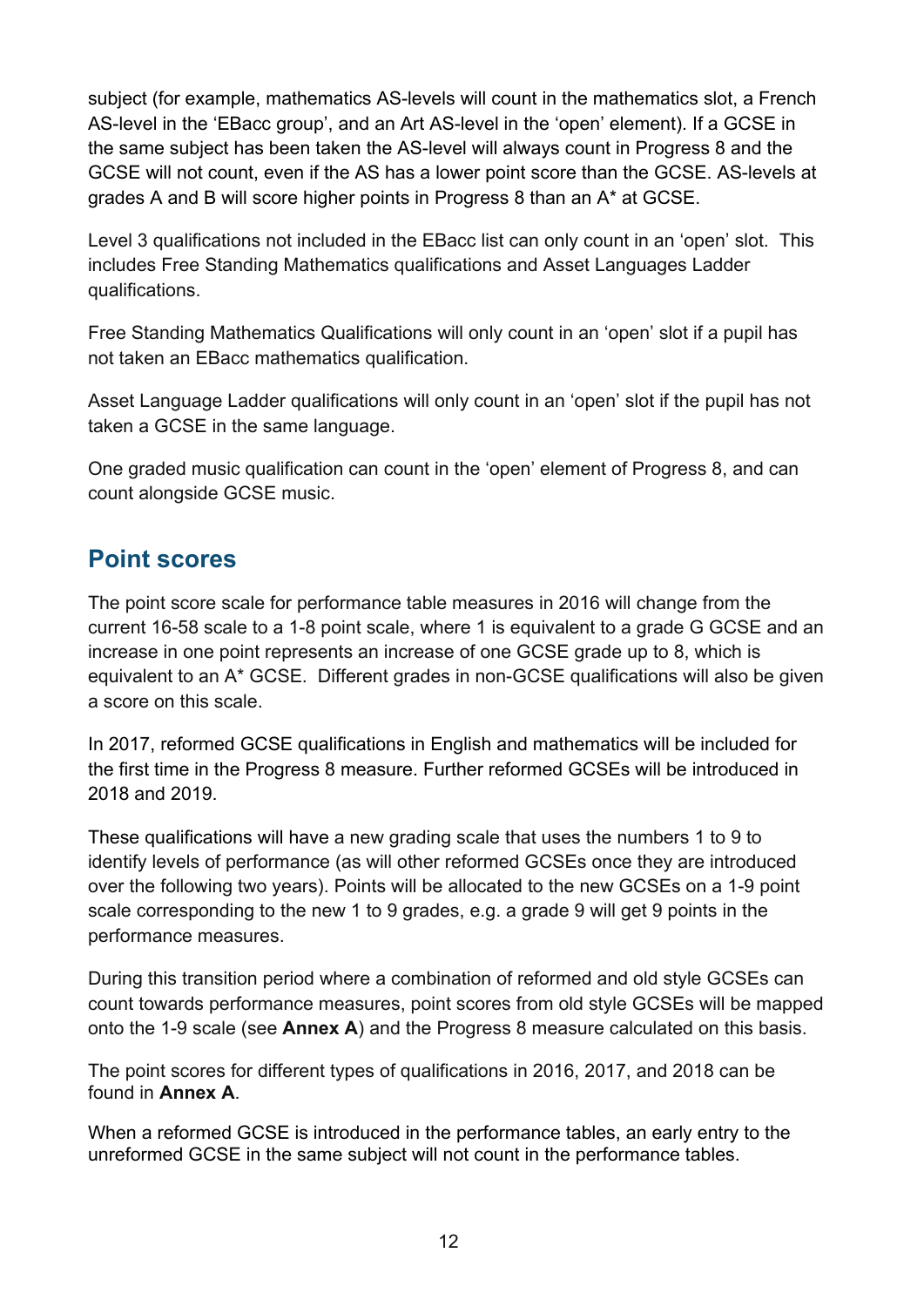subject (for example, mathematics AS-levels will count in the mathematics slot, a French AS-level in the 'EBacc group', and an Art AS-level in the 'open' element). If a GCSE in the same subject has been taken the AS-level will always count in Progress 8 and the GCSE will not count, even if the AS has a lower point score than the GCSE. AS-levels at grades A and B will score higher points in Progress 8 than an A\* at GCSE.

Level 3 qualifications not included in the EBacc list can only count in an 'open' slot. This includes Free Standing Mathematics qualifications and Asset Languages Ladder qualifications.

Free Standing Mathematics Qualifications will only count in an 'open' slot if a pupil has not taken an EBacc mathematics qualification.

Asset Language Ladder qualifications will only count in an 'open' slot if the pupil has not taken a GCSE in the same language.

One graded music qualification can count in the 'open' element of Progress 8, and can count alongside GCSE music.

#### <span id="page-11-0"></span>**Point scores**

The point score scale for performance table measures in 2016 will change from the current 16-58 scale to a 1-8 point scale, where 1 is equivalent to a grade G GCSE and an increase in one point represents an increase of one GCSE grade up to 8, which is equivalent to an A\* GCSE. Different grades in non-GCSE qualifications will also be given a score on this scale.

In 2017, reformed GCSE qualifications in English and mathematics will be included for the first time in the Progress 8 measure. Further reformed GCSEs will be introduced in 2018 and 2019.

These qualifications will have a new grading scale that uses the numbers 1 to 9 to identify levels of performance (as will other reformed GCSEs once they are introduced over the following two years). Points will be allocated to the new GCSEs on a 1-9 point scale corresponding to the new 1 to 9 grades, e.g. a grade 9 will get 9 points in the performance measures.

During this transition period where a combination of reformed and old style GCSEs can count towards performance measures, point scores from old style GCSEs will be mapped onto the 1-9 scale (see **Annex A**) and the Progress 8 measure calculated on this basis.

<span id="page-11-1"></span>The point scores for different types of qualifications in 2016, 2017, and 2018 can be found in **Annex A**.

When a reformed GCSE is introduced in the performance tables, an early entry to the unreformed GCSE in the same subject will not count in the performance tables.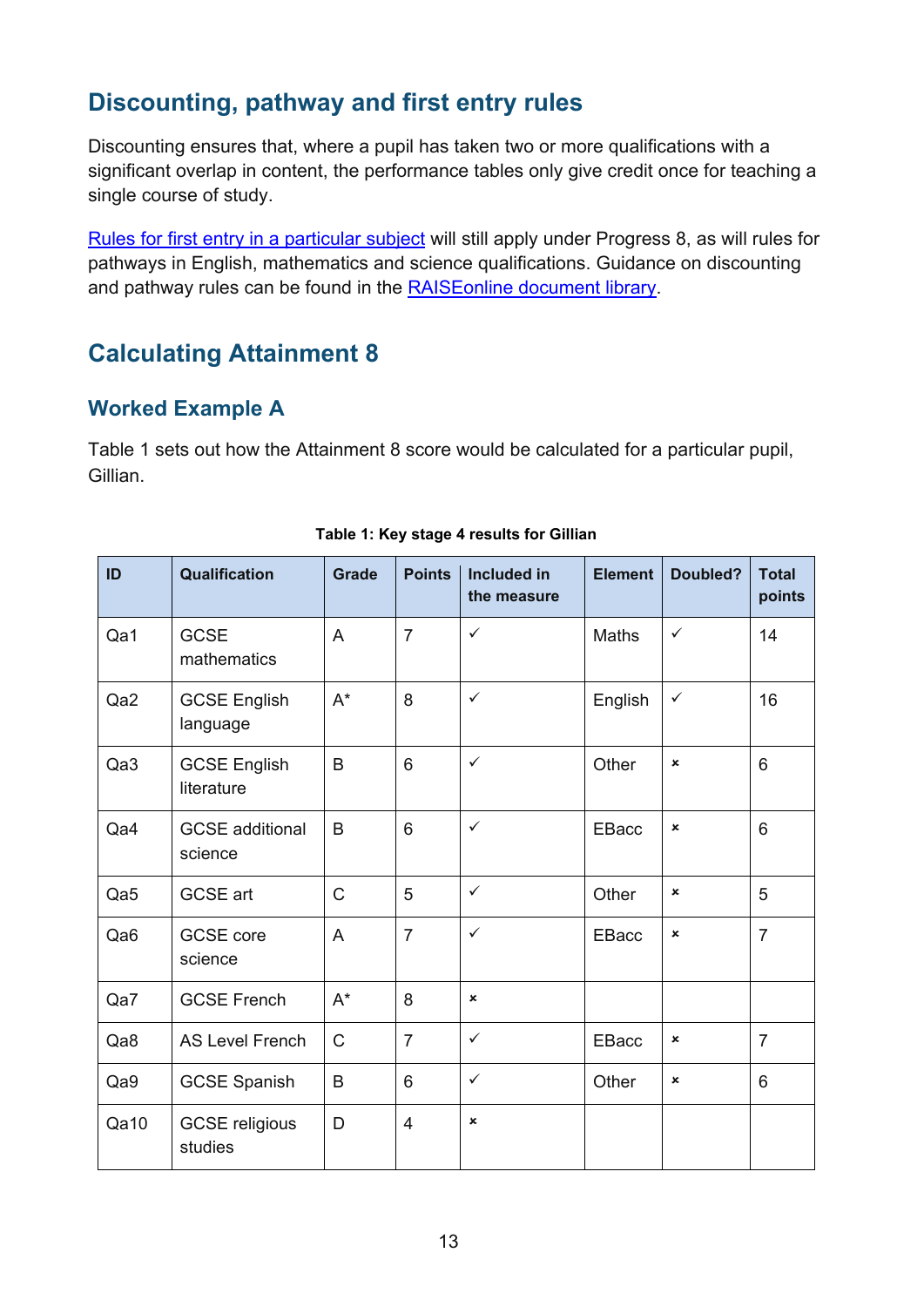## **Discounting, pathway and first entry rules**

Discounting ensures that, where a pupil has taken two or more qualifications with a significant overlap in content, the performance tables only give credit once for teaching a single course of study.

[Rules for first entry in a particular subject](https://www.gov.uk/government/news/changes-to-early-entry-at-gcse) will still apply under Progress 8, as will rules for pathways in English, mathematics and science qualifications. Guidance on discounting and pathway rules can be found in the [RAISEonline document library.](https://www.raiseonline.org/documentlibrary/ViewDocumentLibrary.aspx)

## <span id="page-12-0"></span>**Calculating Attainment 8**

#### <span id="page-12-1"></span>**Worked Example A**

Table 1 sets out how the Attainment 8 score would be calculated for a particular pupil, Gillian.

<span id="page-12-2"></span>

| ID              | <b>Qualification</b>              | <b>Grade</b>         | <b>Points</b>  | <b>Included in</b><br>the measure | <b>Element</b> | Doubled?       | <b>Total</b><br>points |
|-----------------|-----------------------------------|----------------------|----------------|-----------------------------------|----------------|----------------|------------------------|
| Qa1             | <b>GCSE</b><br>mathematics        | $\overline{A}$       | $\overline{7}$ | $\checkmark$                      | Maths          | $\checkmark$   | 14                     |
| Qa2             | <b>GCSE English</b><br>language   | $\mathsf{A}^{\star}$ | 8              | $\checkmark$                      | English        | $\checkmark$   | 16                     |
| Qa3             | <b>GCSE English</b><br>literature | B                    | 6              | $\checkmark$                      | Other          | $\pmb{\times}$ | 6                      |
| Qa4             | <b>GCSE</b> additional<br>science | B                    | $6\phantom{1}$ | $\checkmark$                      | EBacc          | $\pmb{\times}$ | 6                      |
| Qa5             | <b>GCSE</b> art                   | $\mathsf{C}$         | 5              | $\checkmark$                      | Other          | ×              | 5                      |
| Qa <sub>6</sub> | <b>GCSE</b> core<br>science       | A                    | $\overline{7}$ | $\checkmark$                      | EBacc          | ×              | $\overline{7}$         |
| Qa7             | <b>GCSE French</b>                | $A^*$                | 8              | $\mathbf x$                       |                |                |                        |
| Qa8             | <b>AS Level French</b>            | C                    | $\overline{7}$ | $\checkmark$                      | <b>EBacc</b>   | $\pmb{\times}$ | $\overline{7}$         |
| Qa9             | <b>GCSE Spanish</b>               | B                    | 6              | $\checkmark$                      | Other          | ×              | 6                      |
| Qa10            | <b>GCSE religious</b><br>studies  | D                    | $\overline{4}$ | ×                                 |                |                |                        |

#### **Table 1: Key stage 4 results for Gillian**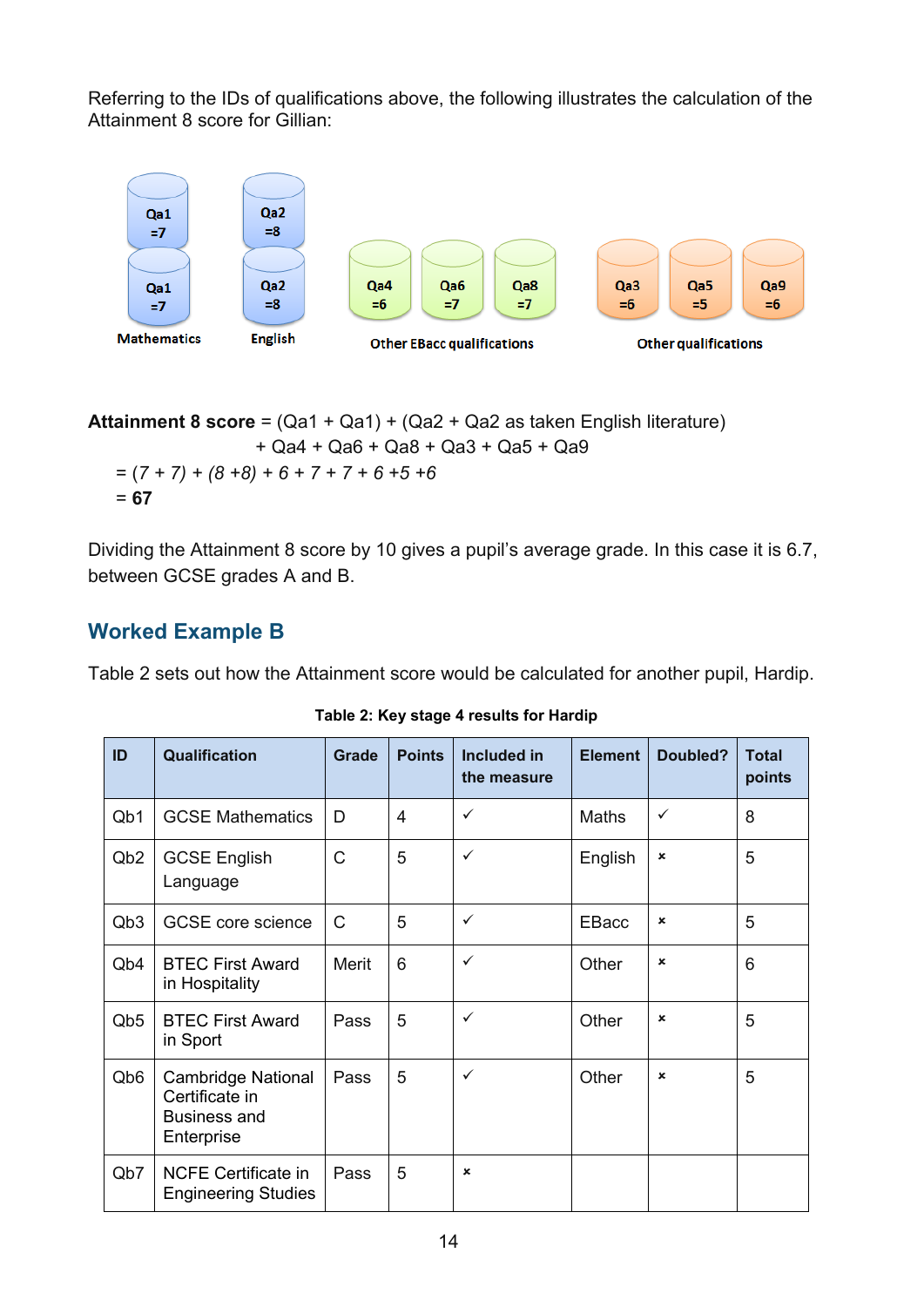Referring to the IDs of qualifications above, the following illustrates the calculation of the Attainment 8 score for Gillian:



**Attainment 8 score** = (Qa1 + Qa1) + (Qa2 + Qa2 as taken English literature) + Qa4 + Qa6 + Qa8 + Qa3 + Qa5 + Qa9 = (*7 + 7) + (8 +8) + 6 + 7 + 7 + 6 +5 +6*  = **67** 

Dividing the Attainment 8 score by 10 gives a pupil's average grade. In this case it is 6.7, between GCSE grades A and B.

#### <span id="page-13-0"></span>**Worked Example B**

Table 2 sets out how the Attainment score would be calculated for another pupil, Hardip.

<span id="page-13-1"></span>

| ID                          | Qualification                                                                    | Grade        | <b>Points</b> | <b>Included in</b><br>the measure | <b>Element</b> | Doubled?                  | <b>Total</b><br>points |
|-----------------------------|----------------------------------------------------------------------------------|--------------|---------------|-----------------------------------|----------------|---------------------------|------------------------|
| Q <sub>b</sub> 1            | <b>GCSE Mathematics</b>                                                          | D            | 4             | $\checkmark$                      | <b>Maths</b>   | ✓                         | 8                      |
| Q <sub>b</sub> 2            | <b>GCSE English</b><br>Language                                                  | $\mathsf{C}$ | 5             | $\checkmark$                      | English        | $\boldsymbol{\mathsf{x}}$ | 5                      |
| Q <sub>b</sub> 3            | <b>GCSE</b> core science                                                         | $\mathsf{C}$ | 5             | ✓                                 | <b>EBacc</b>   | $\pmb{\times}$            | 5                      |
| Q <sub>b</sub> 4            | <b>BTEC First Award</b><br>in Hospitality                                        | Merit        | 6             | $\checkmark$                      | Other          | $\boldsymbol{\mathsf{x}}$ | 6                      |
| Q <sub>b</sub> <sub>5</sub> | <b>BTEC First Award</b><br>in Sport                                              | Pass         | 5             | ✓                                 | Other          | $\boldsymbol{\mathsf{x}}$ | 5                      |
| Qb <sub>6</sub>             | <b>Cambridge National</b><br>Certificate in<br><b>Business and</b><br>Enterprise | Pass         | 5             | $\checkmark$                      | Other          | $\boldsymbol{\mathsf{x}}$ | 5                      |
| Qb7                         | <b>NCFE Certificate in</b><br><b>Engineering Studies</b>                         | Pass         | 5             | $\boldsymbol{\mathsf{x}}$         |                |                           |                        |

**Table 2: Key stage 4 results for Hardip**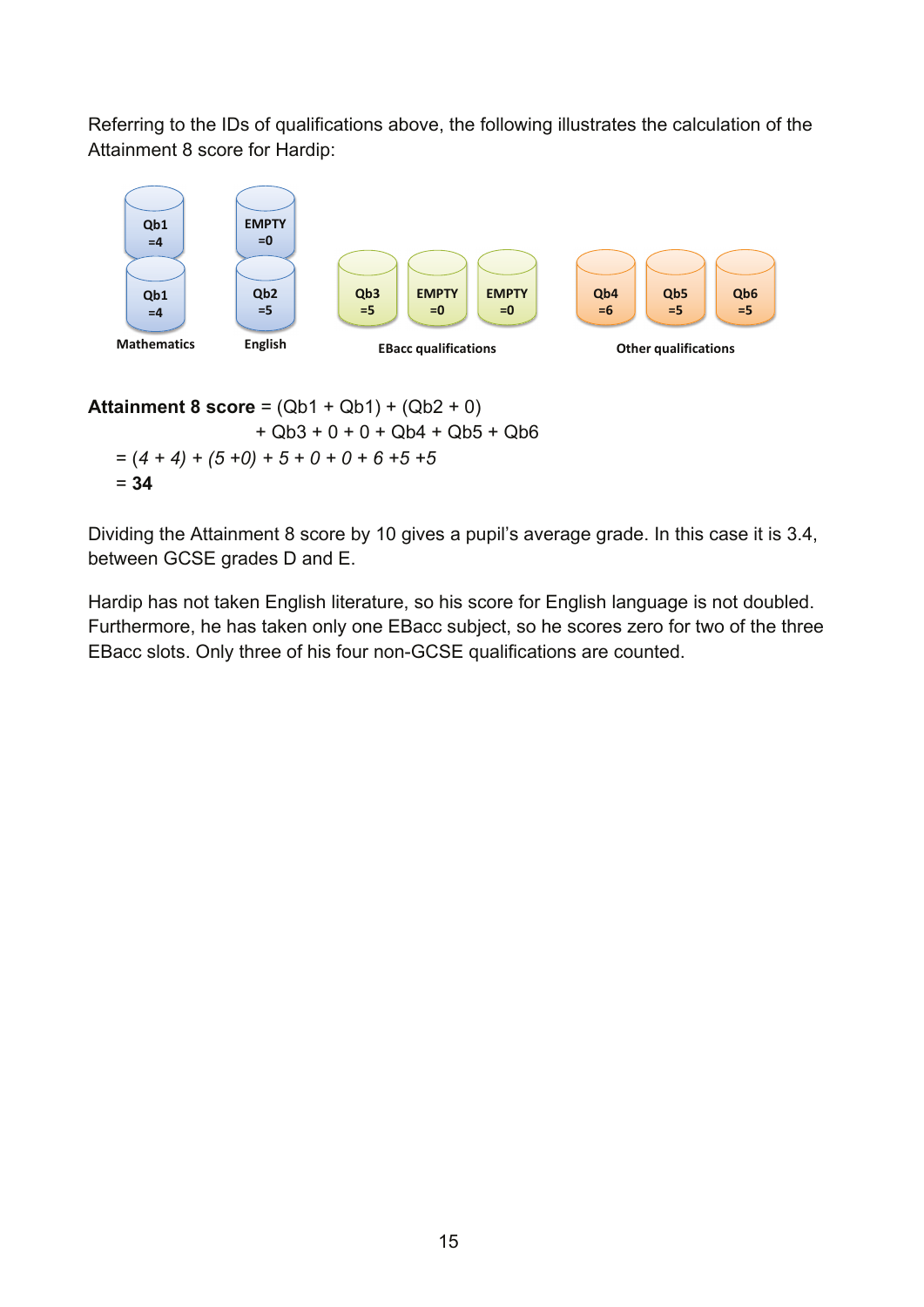Referring to the IDs of qualifications above, the following illustrates the calculation of the Attainment 8 score for Hardip:



**Attainment 8 score** = (Qb1 + Qb1) + (Qb2 + 0) + Qb3 + 0 + 0 + Qb4 + Qb5 + Qb6  $=(4 + 4) + (5 + 0) + 5 + 0 + 0 + 6 + 5 + 5$ = **34**

Dividing the Attainment 8 score by 10 gives a pupil's average grade. In this case it is 3.4, between GCSE grades D and E.

Hardip has not taken English literature, so his score for English language is not doubled. Furthermore, he has taken only one EBacc subject, so he scores zero for two of the three EBacc slots. Only three of his four non-GCSE qualifications are counted.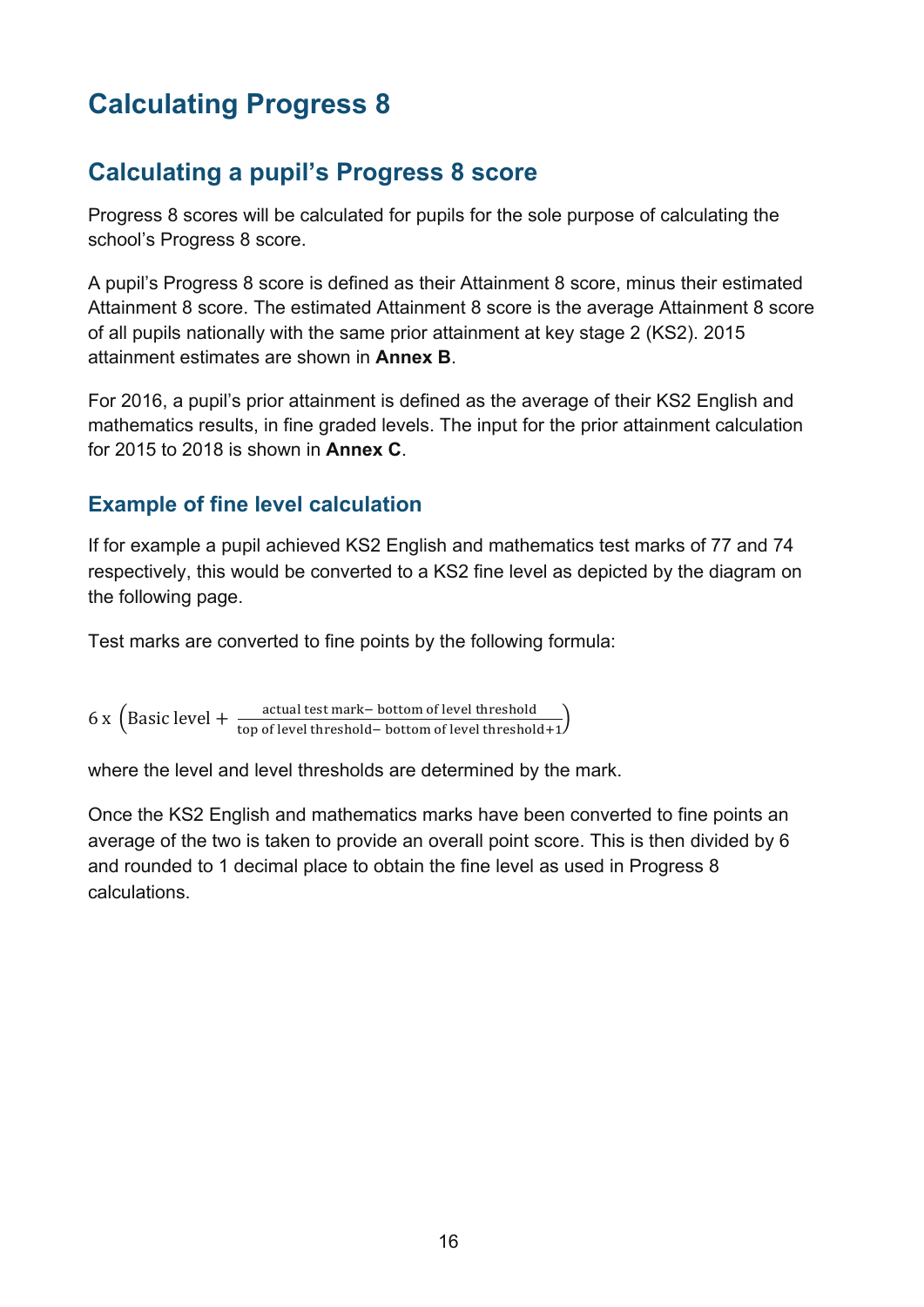# <span id="page-15-0"></span>**Calculating Progress 8**

## <span id="page-15-1"></span>**Calculating a pupil's Progress 8 score**

Progress 8 scores will be calculated for pupils for the sole purpose of calculating the school's Progress 8 score.

A pupil's Progress 8 score is defined as their Attainment 8 score, minus their estimated Attainment 8 score. The estimated Attainment 8 score is the average Attainment 8 score of all pupils nationally with the same prior attainment at key stage 2 (KS2). 2015 attainment estimates are shown in **Annex B**.

For 2016, a pupil's prior attainment is defined as the average of their KS2 English and mathematics results, in fine graded levels. The input for the prior attainment calculation for 2015 to 2018 is shown in **Annex C**.

#### <span id="page-15-2"></span>**Example of fine level calculation**

If for example a pupil achieved KS2 English and mathematics test marks of 77 and 74 respectively, this would be converted to a KS2 fine level as depicted by the diagram on the following page.

Test marks are converted to fine points by the following formula:

 $6 \times \left($  Basic level +  $\frac{\text{actual test mark}-\text{bottom of level threshold}}{\text{top of level threshold}-\text{bottom of level threshold}+1}\right)$ 

where the level and level thresholds are determined by the mark.

Once the KS2 English and mathematics marks have been converted to fine points an average of the two is taken to provide an overall point score. This is then divided by 6 and rounded to 1 decimal place to obtain the fine level as used in Progress 8 calculations.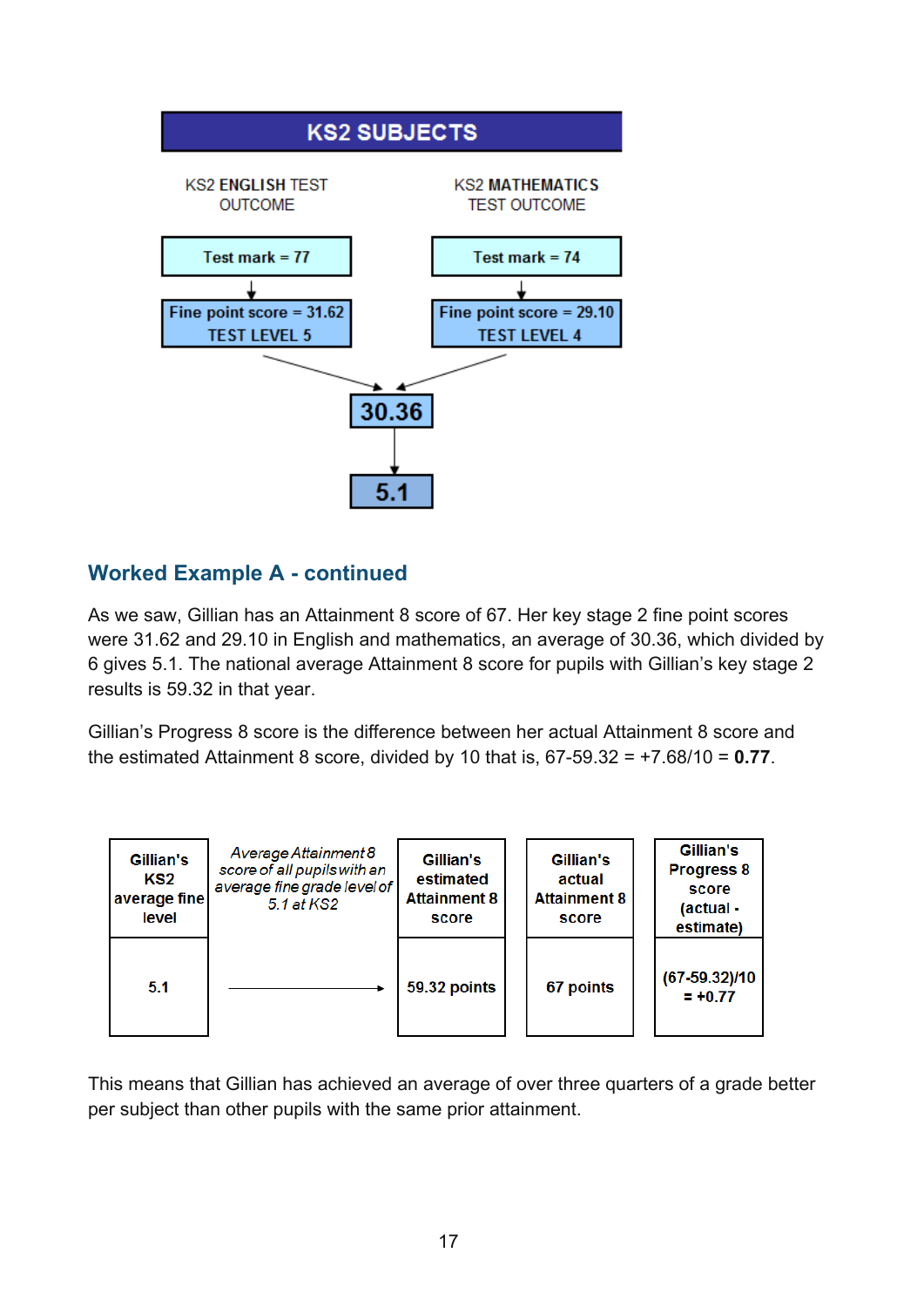<span id="page-16-0"></span>

#### **Worked Example A - continued**

As we saw, Gillian has an Attainment 8 score of 67. Her key stage 2 fine point scores were 31.62 and 29.10 in English and mathematics, an average of 30.36, which divided by 6 gives 5.1. The national average Attainment 8 score for pupils with Gillian's key stage 2 results is 59.32 in that year.

Gillian's Progress 8 score is the difference between her actual Attainment 8 score and the estimated Attainment 8 score, divided by 10 that is, 67-59.32 = +7.68/10 = **0.77**.



This means that Gillian has achieved an average of over three quarters of a grade better per subject than other pupils with the same prior attainment.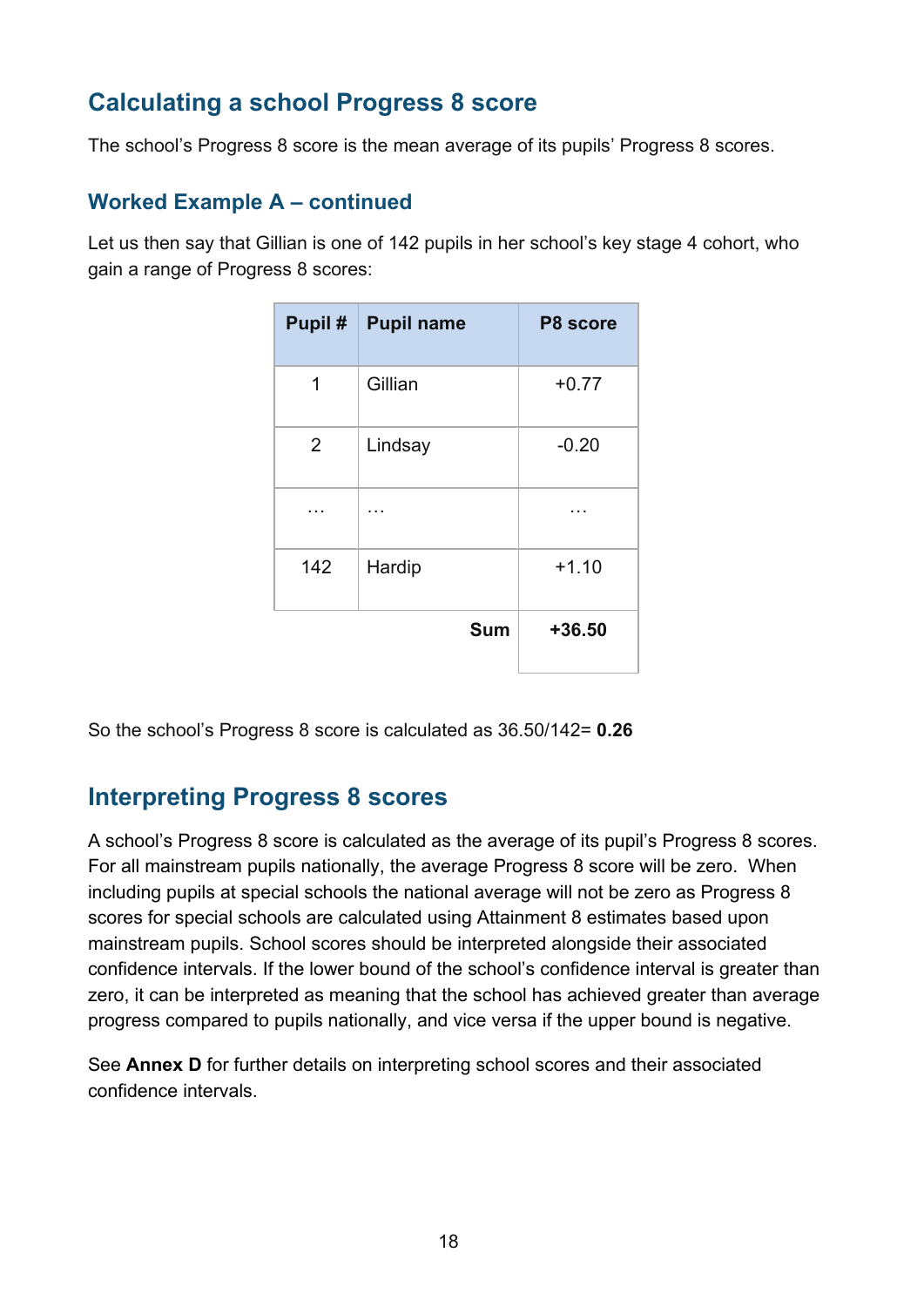## <span id="page-17-0"></span>**Calculating a school Progress 8 score**

The school's Progress 8 score is the mean average of its pupils' Progress 8 scores.

#### <span id="page-17-1"></span>**Worked Example A – continued**

Let us then say that Gillian is one of 142 pupils in her school's key stage 4 cohort, who gain a range of Progress 8 scores:

|                | Pupil #   Pupil name | P8 score |
|----------------|----------------------|----------|
| 1              | Gillian              | $+0.77$  |
| $\overline{2}$ | Lindsay              | $-0.20$  |
|                |                      |          |
| 142            | Hardip               | $+1.10$  |
|                | <b>Sum</b>           | $+36.50$ |

So the school's Progress 8 score is calculated as 36.50/142= **0.26**

#### <span id="page-17-2"></span>**Interpreting Progress 8 scores**

A school's Progress 8 score is calculated as the average of its pupil's Progress 8 scores. For all mainstream pupils nationally, the average Progress 8 score will be zero. When including pupils at special schools the national average will not be zero as Progress 8 scores for special schools are calculated using Attainment 8 estimates based upon mainstream pupils. School scores should be interpreted alongside their associated confidence intervals. If the lower bound of the school's confidence interval is greater than zero, it can be interpreted as meaning that the school has achieved greater than average progress compared to pupils nationally, and vice versa if the upper bound is negative.

See **Annex D** for further details on interpreting school scores and their associated confidence intervals.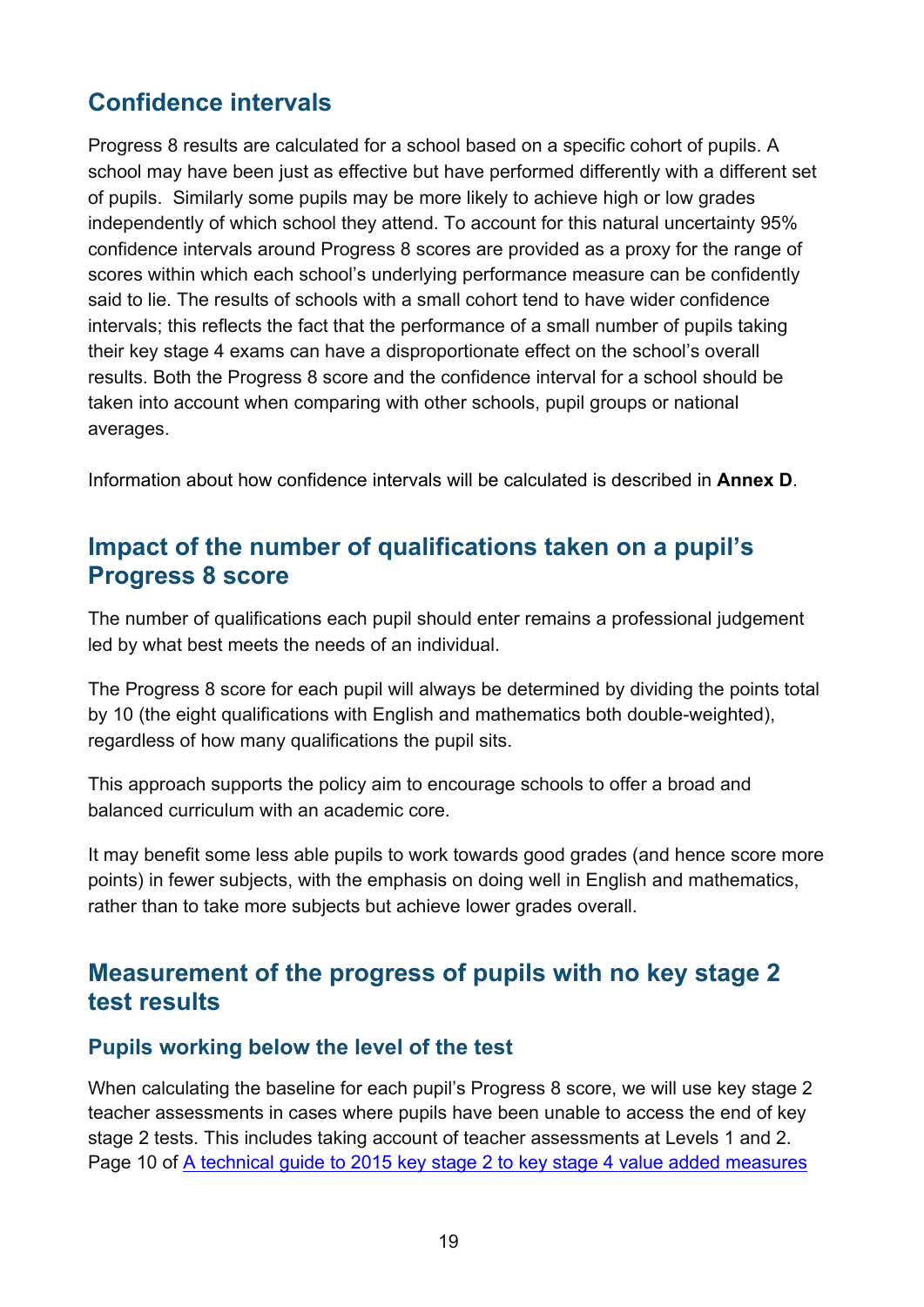## <span id="page-18-0"></span>**Confidence intervals**

Progress 8 results are calculated for a school based on a specific cohort of pupils. A school may have been just as effective but have performed differently with a different set of pupils. Similarly some pupils may be more likely to achieve high or low grades independently of which school they attend. To account for this natural uncertainty 95% confidence intervals around Progress 8 scores are provided as a proxy for the range of scores within which each school's underlying performance measure can be confidently said to lie. The results of schools with a small cohort tend to have wider confidence intervals; this reflects the fact that the performance of a small number of pupils taking their key stage 4 exams can have a disproportionate effect on the school's overall results. Both the Progress 8 score and the confidence interval for a school should be taken into account when comparing with other schools, pupil groups or national averages.

<span id="page-18-1"></span>Information about how confidence intervals will be calculated is described in **Annex D**.

#### **Impact of the number of qualifications taken on a pupil's Progress 8 score**

The number of qualifications each pupil should enter remains a professional judgement led by what best meets the needs of an individual.

The Progress 8 score for each pupil will always be determined by dividing the points total by 10 (the eight qualifications with English and mathematics both double-weighted), regardless of how many qualifications the pupil sits.

This approach supports the policy aim to encourage schools to offer a broad and balanced curriculum with an academic core.

It may benefit some less able pupils to work towards good grades (and hence score more points) in fewer subjects, with the emphasis on doing well in English and mathematics, rather than to take more subjects but achieve lower grades overall.

#### <span id="page-18-2"></span>**Measurement of the progress of pupils with no key stage 2 test results**

#### **Pupils working below the level of the test**

When calculating the baseline for each pupil's Progress 8 score, we will use key stage 2 teacher assessments in cases where pupils have been unable to access the end of key stage 2 tests. This includes taking account of teacher assessments at Levels 1 and 2. Page 10 of [A technical guide to 2015 key stage 2 to key stage 4 value added measures](http://www.education.gov.uk/schools/performance/secondary_15/Key_stage_2_to_key_stage_4_value_added_measures.pdf)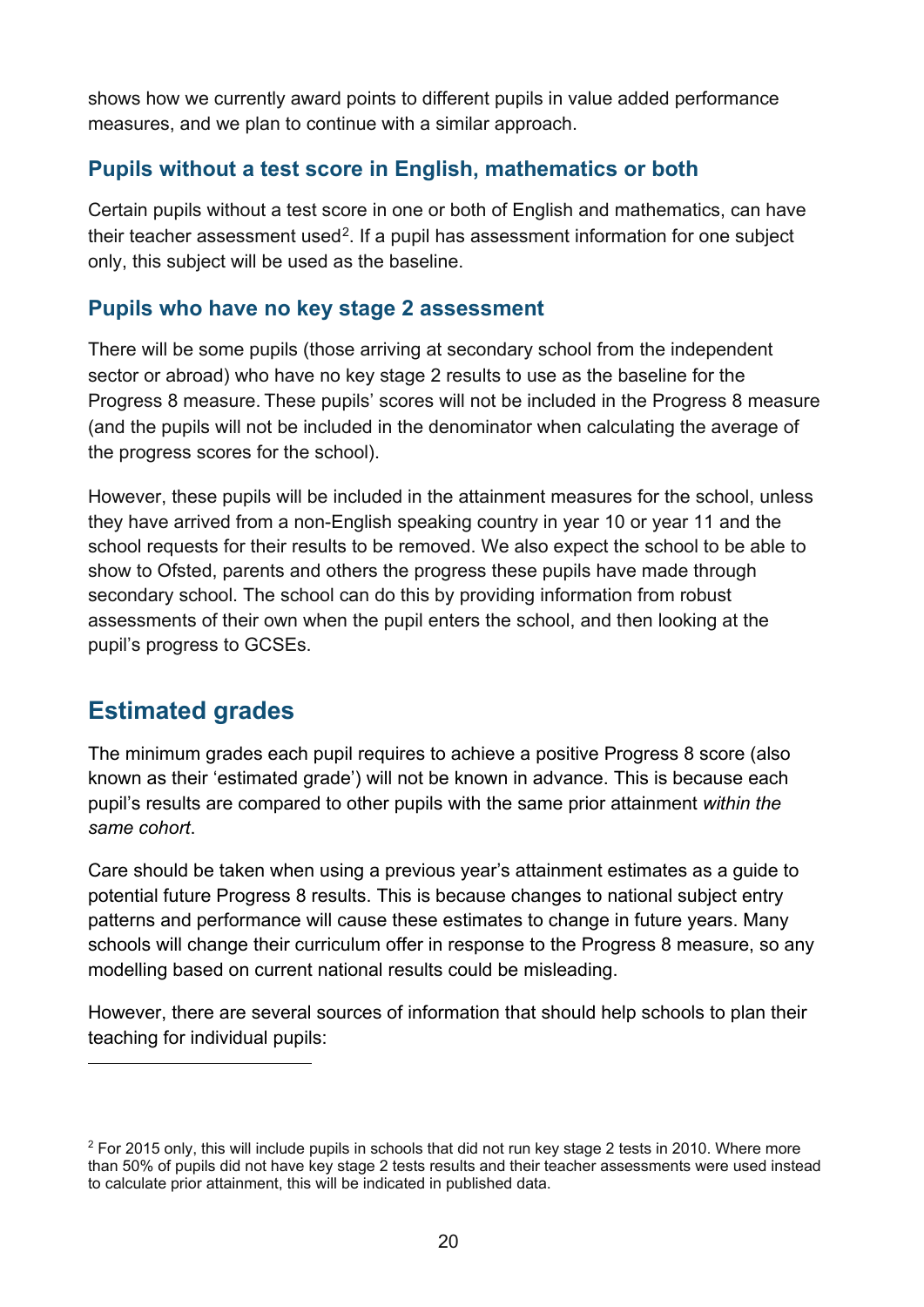shows how we currently award points to different pupils in value added performance measures, and we plan to continue with a similar approach.

#### **Pupils without a test score in English, mathematics or both**

Certain pupils without a test score in one or both of English and mathematics, can have their teacher assessment used<sup>[2](#page-19-1)</sup>. If a pupil has assessment information for one subject only, this subject will be used as the baseline.

#### **Pupils who have no key stage 2 assessment**

There will be some pupils (those arriving at secondary school from the independent sector or abroad) who have no key stage 2 results to use as the baseline for the Progress 8 measure. These pupils' scores will not be included in the Progress 8 measure (and the pupils will not be included in the denominator when calculating the average of the progress scores for the school).

However, these pupils will be included in the attainment measures for the school, unless they have arrived from a non-English speaking country in year 10 or year 11 and the school requests for their results to be removed. We also expect the school to be able to show to Ofsted, parents and others the progress these pupils have made through secondary school. The school can do this by providing information from robust assessments of their own when the pupil enters the school, and then looking at the pupil's progress to GCSEs.

## <span id="page-19-0"></span>**Estimated grades**

 $\overline{a}$ 

The minimum grades each pupil requires to achieve a positive Progress 8 score (also known as their 'estimated grade') will not be known in advance. This is because each pupil's results are compared to other pupils with the same prior attainment *within the same cohort*.

Care should be taken when using a previous year's attainment estimates as a guide to potential future Progress 8 results. This is because changes to national subject entry patterns and performance will cause these estimates to change in future years. Many schools will change their curriculum offer in response to the Progress 8 measure, so any modelling based on current national results could be misleading.

However, there are several sources of information that should help schools to plan their teaching for individual pupils:

<span id="page-19-1"></span> $2$  For 2015 only, this will include pupils in schools that did not run key stage 2 tests in 2010. Where more than 50% of pupils did not have key stage 2 tests results and their teacher assessments were used instead to calculate prior attainment, this will be indicated in published data.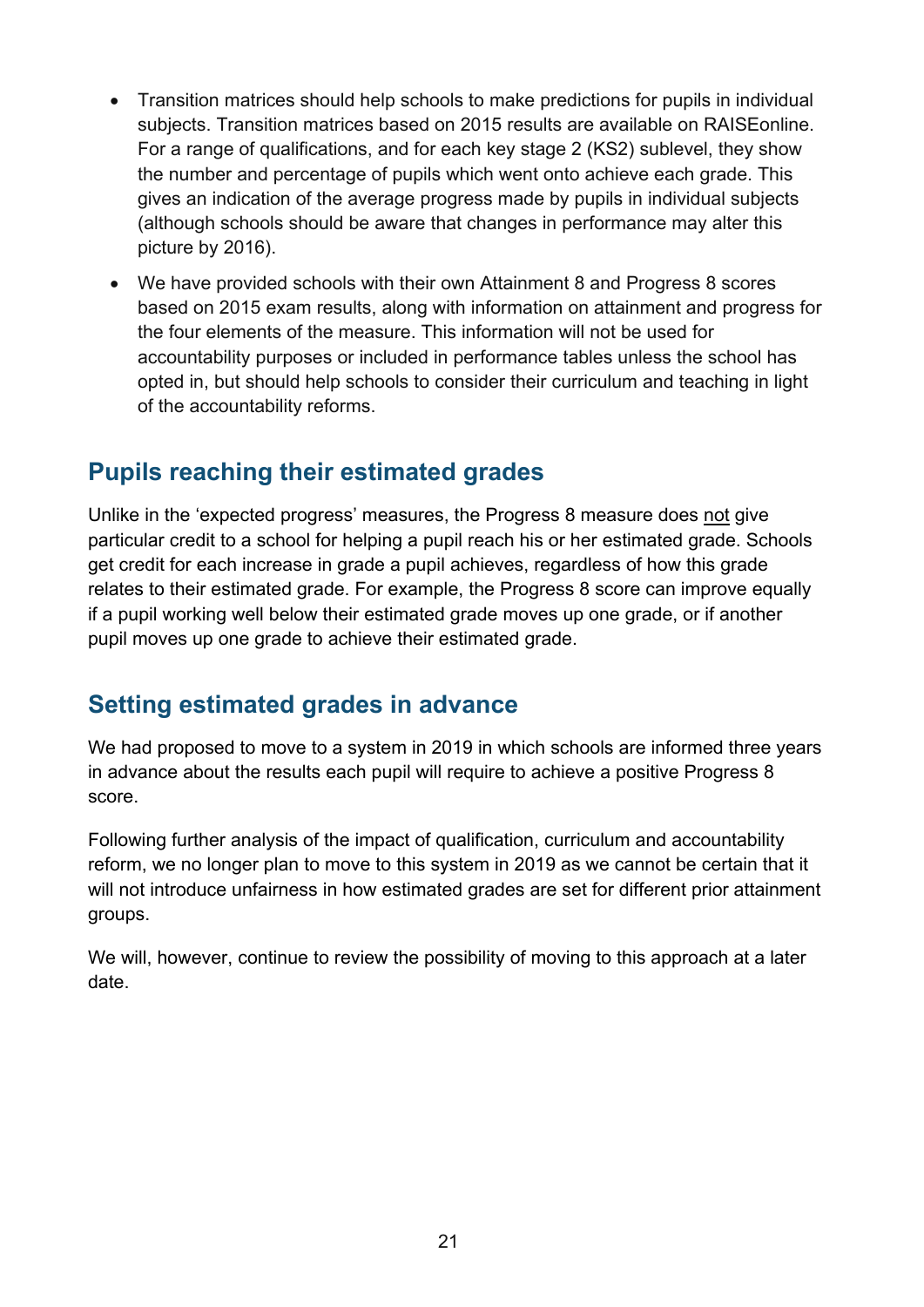- Transition matrices should help schools to make predictions for pupils in individual subjects. Transition matrices based on 2015 results are available on RAISEonline. For a range of qualifications, and for each key stage 2 (KS2) sublevel, they show the number and percentage of pupils which went onto achieve each grade. This gives an indication of the average progress made by pupils in individual subjects (although schools should be aware that changes in performance may alter this picture by 2016).
- We have provided schools with their own Attainment 8 and Progress 8 scores based on 2015 exam results, along with information on attainment and progress for the four elements of the measure. This information will not be used for accountability purposes or included in performance tables unless the school has opted in, but should help schools to consider their curriculum and teaching in light of the accountability reforms.

## <span id="page-20-0"></span>**Pupils reaching their estimated grades**

Unlike in the 'expected progress' measures, the Progress 8 measure does not give particular credit to a school for helping a pupil reach his or her estimated grade. Schools get credit for each increase in grade a pupil achieves, regardless of how this grade relates to their estimated grade. For example, the Progress 8 score can improve equally if a pupil working well below their estimated grade moves up one grade, or if another pupil moves up one grade to achieve their estimated grade.

## <span id="page-20-1"></span>**Setting estimated grades in advance**

We had proposed to move to a system in 2019 in which schools are informed three years in advance about the results each pupil will require to achieve a positive Progress 8 score.

Following further analysis of the impact of qualification, curriculum and accountability reform, we no longer plan to move to this system in 2019 as we cannot be certain that it will not introduce unfairness in how estimated grades are set for different prior attainment groups.

We will, however, continue to review the possibility of moving to this approach at a later date.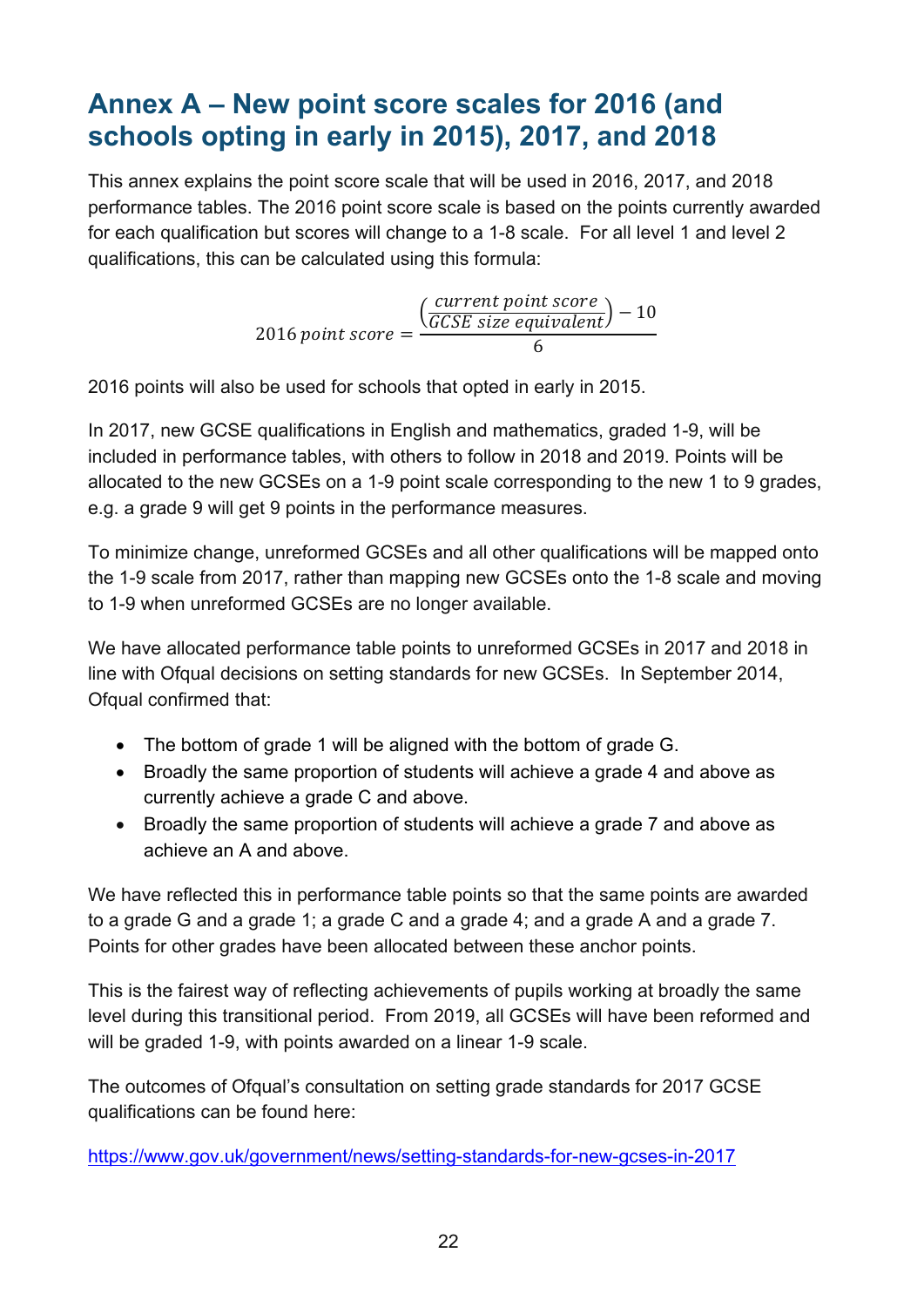# <span id="page-21-0"></span>**Annex A – New point score scales for 2016 (and schools opting in early in 2015), 2017, and 2018**

This annex explains the point score scale that will be used in 2016, 2017, and 2018 performance tables. The 2016 point score scale is based on the points currently awarded for each qualification but scores will change to a 1-8 scale. For all level 1 and level 2 qualifications, this can be calculated using this formula:

> $2016$  point score  $=$  $\left(\frac{\text{current point score}}{\text{GCSE size equivalent}}\right) - 10$ 6

2016 points will also be used for schools that opted in early in 2015.

In 2017, new GCSE qualifications in English and mathematics, graded 1-9, will be included in performance tables, with others to follow in 2018 and 2019. Points will be allocated to the new GCSEs on a 1-9 point scale corresponding to the new 1 to 9 grades, e.g. a grade 9 will get 9 points in the performance measures.

To minimize change, unreformed GCSEs and all other qualifications will be mapped onto the 1-9 scale from 2017, rather than mapping new GCSEs onto the 1-8 scale and moving to 1-9 when unreformed GCSEs are no longer available.

We have allocated performance table points to unreformed GCSEs in 2017 and 2018 in line with Ofqual decisions on setting standards for new GCSEs. In September 2014, Ofqual confirmed that:

- The bottom of grade 1 will be aligned with the bottom of grade G.
- Broadly the same proportion of students will achieve a grade 4 and above as currently achieve a grade C and above.
- Broadly the same proportion of students will achieve a grade 7 and above as achieve an A and above.

We have reflected this in performance table points so that the same points are awarded to a grade G and a grade 1; a grade C and a grade 4; and a grade A and a grade 7. Points for other grades have been allocated between these anchor points.

This is the fairest way of reflecting achievements of pupils working at broadly the same level during this transitional period. From 2019, all GCSEs will have been reformed and will be graded 1-9, with points awarded on a linear 1-9 scale.

The outcomes of Ofqual's consultation on setting grade standards for 2017 GCSE qualifications can be found here:

<https://www.gov.uk/government/news/setting-standards-for-new-gcses-in-2017>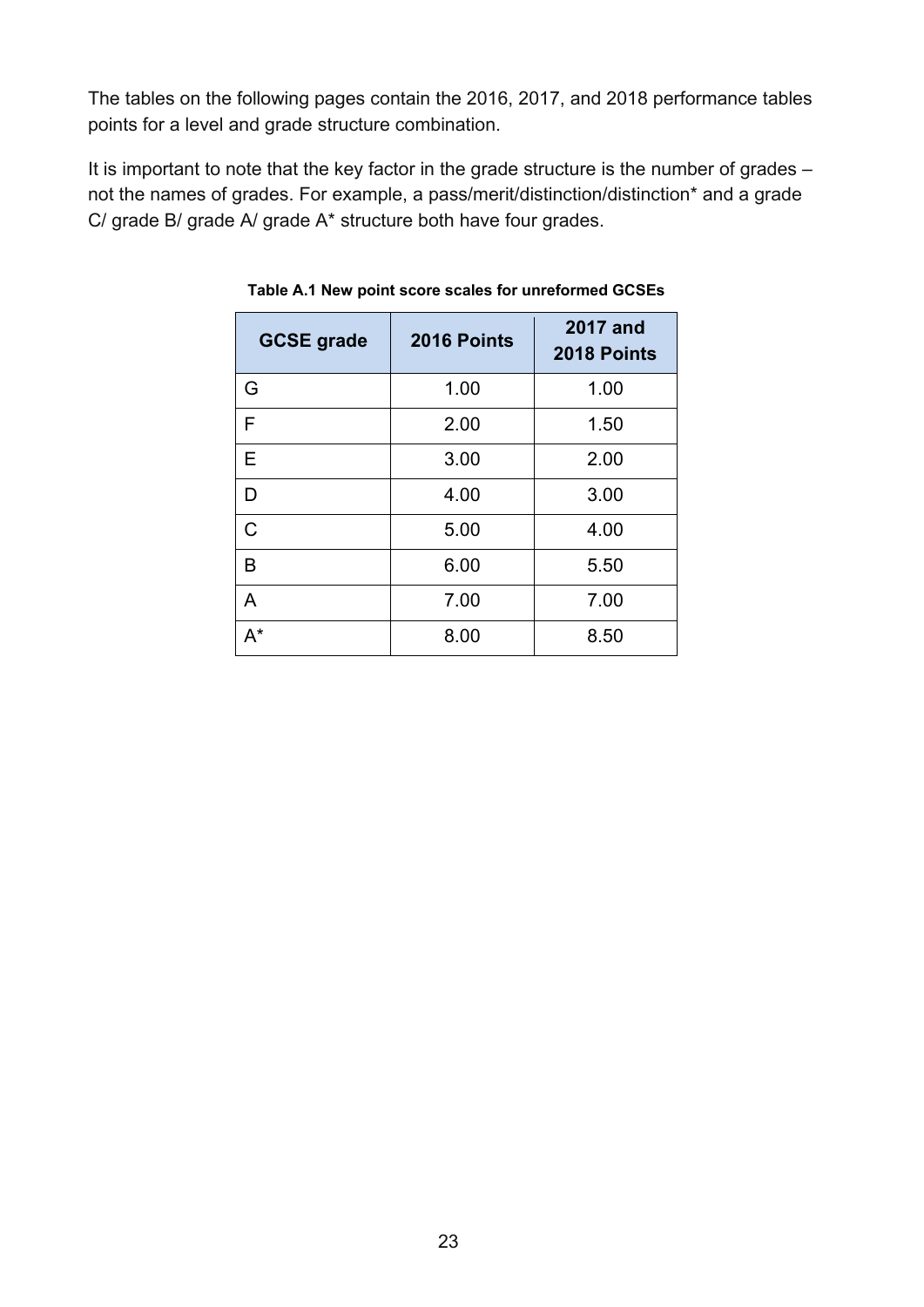The tables on the following pages contain the 2016, 2017, and 2018 performance tables points for a level and grade structure combination.

<span id="page-22-0"></span>It is important to note that the key factor in the grade structure is the number of grades not the names of grades. For example, a pass/merit/distinction/distinction\* and a grade C/ grade B/ grade A/ grade A\* structure both have four grades.

| <b>GCSE grade</b> | 2016 Points | <b>2017 and</b><br>2018 Points |
|-------------------|-------------|--------------------------------|
| G                 | 1.00        | 1.00                           |
| F                 | 2.00        | 1.50                           |
| E                 | 3.00        | 2.00                           |
| D                 | 4.00        | 3.00                           |
| $\mathsf{C}$      | 5.00        | 4.00                           |
| В                 | 6.00        | 5.50                           |
| A                 | 7.00        | 7.00                           |
| $A^*$             | 8.00        | 8.50                           |

**Table A.1 New point score scales for unreformed GCSEs**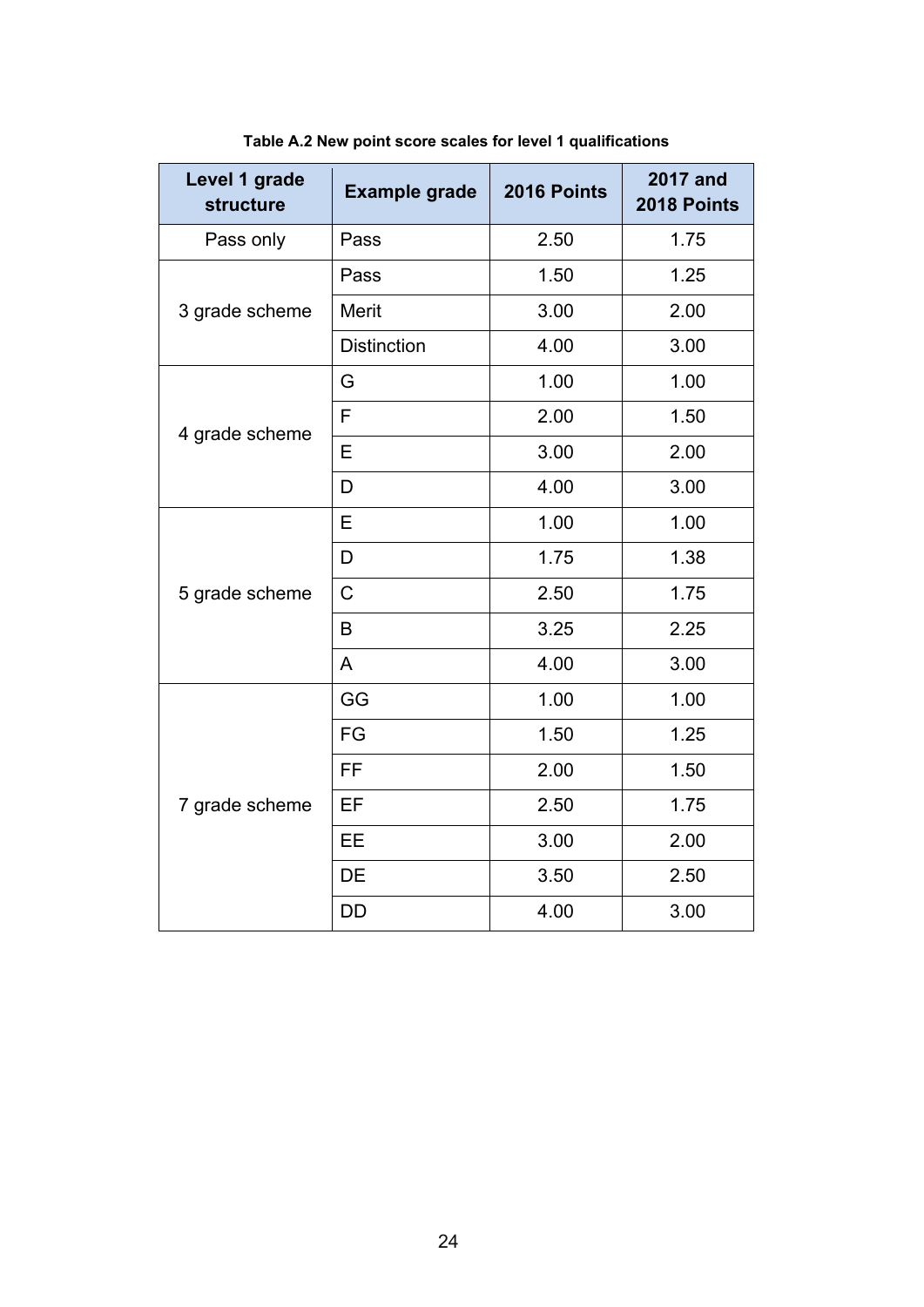<span id="page-23-0"></span>

| Level 1 grade<br>structure | <b>Example grade</b> | 2016 Points | <b>2017 and</b><br>2018 Points |
|----------------------------|----------------------|-------------|--------------------------------|
| Pass only                  | Pass                 | 2.50        | 1.75                           |
|                            | Pass                 | 1.50        | 1.25                           |
| 3 grade scheme             | <b>Merit</b>         | 3.00        | 2.00                           |
|                            | <b>Distinction</b>   | 4.00        | 3.00                           |
|                            | G                    | 1.00        | 1.00                           |
| 4 grade scheme             | F                    | 2.00        | 1.50                           |
|                            | E                    | 3.00        | 2.00                           |
|                            | D                    | 4.00        | 3.00                           |
|                            | E                    | 1.00        | 1.00                           |
|                            | D                    | 1.75        | 1.38                           |
| 5 grade scheme             | C                    | 2.50        | 1.75                           |
|                            | B                    | 3.25        | 2.25                           |
|                            | A                    | 4.00        | 3.00                           |
|                            | GG                   | 1.00        | 1.00                           |
|                            | FG                   | 1.50        | 1.25                           |
|                            | <b>FF</b>            | 2.00        | 1.50                           |
| 7 grade scheme             | EF                   | 2.50        | 1.75                           |
|                            | EE                   | 3.00        | 2.00                           |
|                            | DE                   | 3.50        | 2.50                           |
|                            | <b>DD</b>            | 4.00        | 3.00                           |

**Table A.2 New point score scales for level 1 qualifications**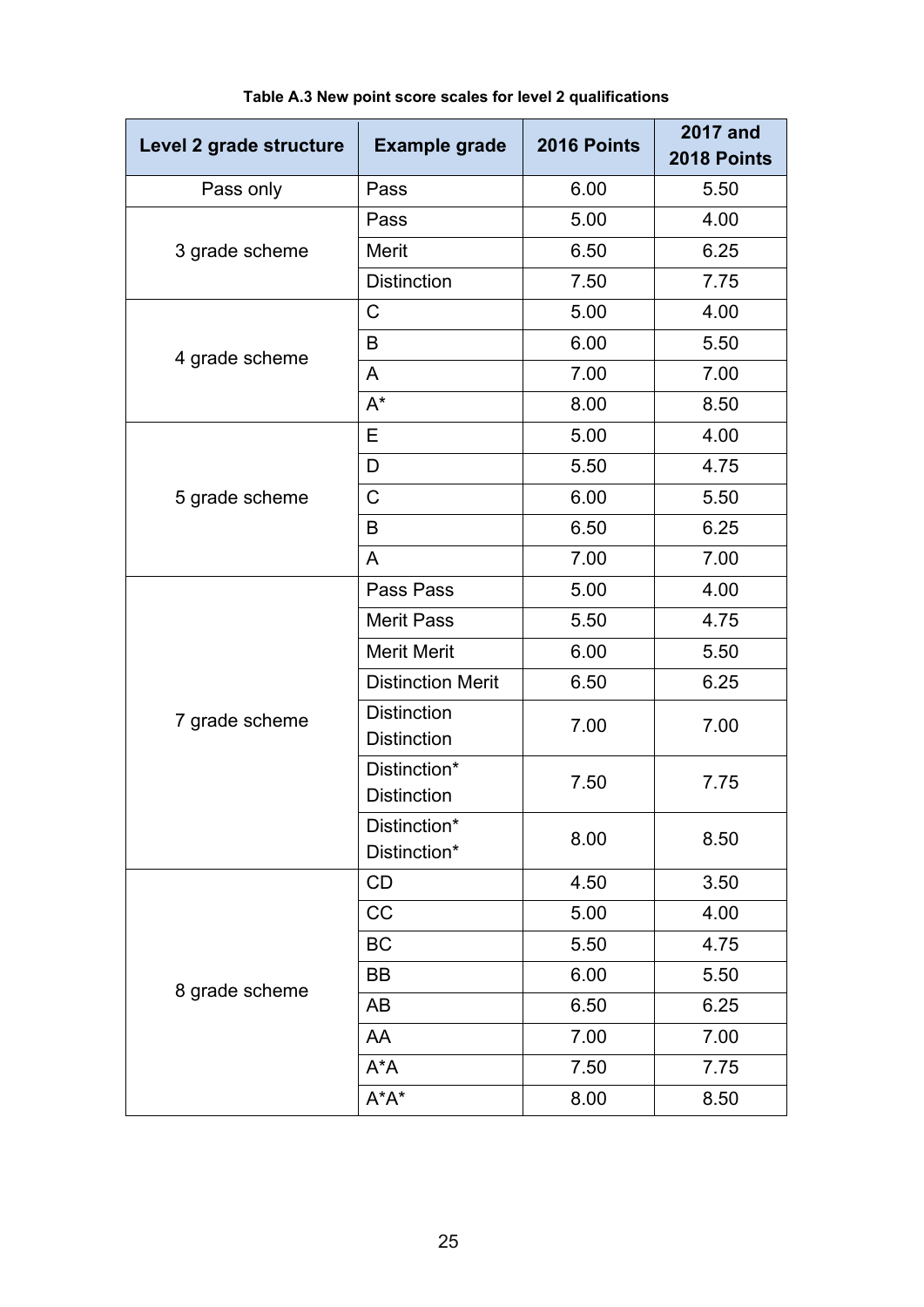<span id="page-24-0"></span>

| Level 2 grade structure | <b>Example grade</b>                     | 2016 Points | <b>2017 and</b><br>2018 Points |
|-------------------------|------------------------------------------|-------------|--------------------------------|
| Pass only               | Pass                                     | 6.00        | 5.50                           |
|                         | Pass                                     | 5.00        | 4.00                           |
| 3 grade scheme          | Merit                                    | 6.50        | 6.25                           |
|                         | <b>Distinction</b>                       | 7.50        | 7.75                           |
|                         | $\mathsf C$                              | 5.00        | 4.00                           |
| 4 grade scheme          | B                                        | 6.00        | 5.50                           |
|                         | A                                        | 7.00        | 7.00                           |
|                         | $A^*$                                    | 8.00        | 8.50                           |
|                         | Е                                        | 5.00        | 4.00                           |
|                         | D                                        | 5.50        | 4.75                           |
| 5 grade scheme          | $\mathsf C$                              | 6.00        | 5.50                           |
|                         | B                                        | 6.50        | 6.25                           |
|                         | A                                        | 7.00        | 7.00                           |
|                         | Pass Pass                                | 5.00        | 4.00                           |
|                         | <b>Merit Pass</b>                        | 5.50        | 4.75                           |
|                         | <b>Merit Merit</b>                       | 6.00        | 5.50                           |
|                         | <b>Distinction Merit</b>                 | 6.50        | 6.25                           |
| 7 grade scheme          | <b>Distinction</b><br><b>Distinction</b> | 7.00        | 7.00                           |
|                         | Distinction*<br><b>Distinction</b>       | 7.50        | 7.75                           |
|                         | Distinction*<br>Distinction*             | 8.00        | 8.50                           |
|                         | CD                                       | 4.50        | 3.50                           |
|                         | CC                                       | 5.00        | 4.00                           |
|                         | BC                                       | 5.50        | 4.75                           |
|                         | BB                                       | 6.00        | 5.50                           |
| 8 grade scheme          | AB                                       | 6.50        | 6.25                           |
|                         | AA                                       | 7.00        | 7.00                           |
|                         | $A^*A$                                   | 7.50        | 7.75                           |
|                         | $A^*A^*$                                 | 8.00        | 8.50                           |

#### **Table A.3 New point score scales for level 2 qualifications**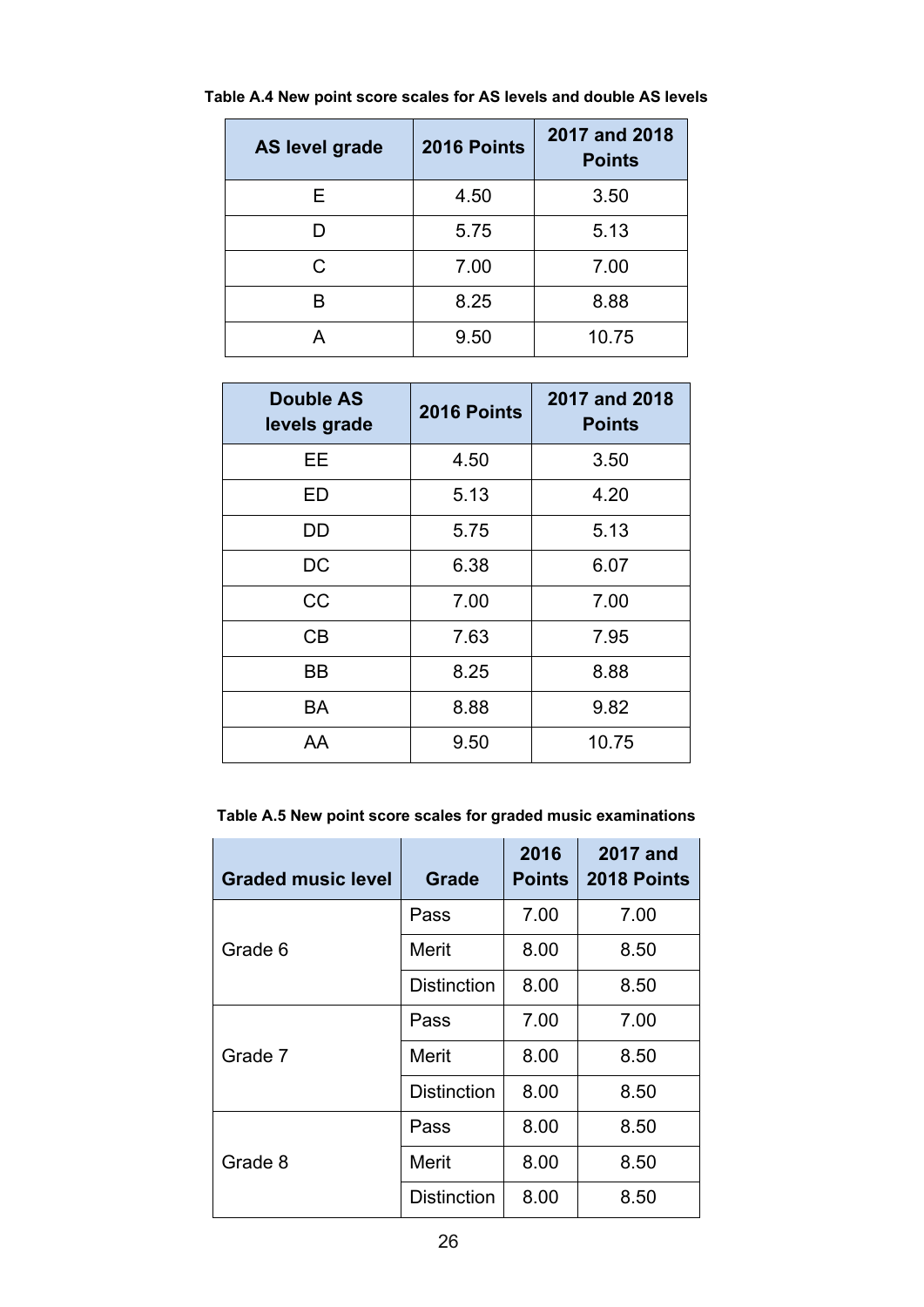| AS level grade | 2016 Points | 2017 and 2018<br><b>Points</b> |
|----------------|-------------|--------------------------------|
| E.             | 4.50        | 3.50                           |
|                | 5.75        | 5.13                           |
| C              | 7.00        | 7.00                           |
| R              | 8.25        | 8.88                           |
| А              | 9.50        | 10.75                          |

<span id="page-25-0"></span>**Table A.4 New point score scales for AS levels and double AS levels**

| <b>Double AS</b><br>levels grade | 2016 Points | 2017 and 2018<br><b>Points</b> |
|----------------------------------|-------------|--------------------------------|
| EE.                              | 4.50        | 3.50                           |
| ED                               | 5.13        | 4.20                           |
| DD                               | 5.75        | 5.13                           |
| DC                               | 6.38        | 6.07                           |
| CC                               | 7.00        | 7.00                           |
| CB                               | 7.63        | 7.95                           |
| ВB                               | 8.25        | 8.88                           |
| BA                               | 8.88        | 9.82                           |
| AA                               | 9.50        | 10.75                          |

<span id="page-25-1"></span>**Table A.5 New point score scales for graded music examinations**

| <b>Graded music level</b> | Grade              | 2016<br><b>Points</b> | <b>2017 and</b><br>2018 Points |
|---------------------------|--------------------|-----------------------|--------------------------------|
|                           | Pass               | 7.00                  | 7.00                           |
| Grade 6                   | Merit              | 8.00                  | 8.50                           |
|                           | <b>Distinction</b> | 8.00                  | 8.50                           |
|                           | Pass               | 7.00                  | 7.00                           |
| Grade 7                   | <b>Merit</b>       | 8.00                  | 8.50                           |
|                           | <b>Distinction</b> | 8.00                  | 8.50                           |
|                           | Pass               | 8.00                  | 8.50                           |
| Grade 8                   | Merit              | 8.00                  | 8.50                           |
|                           | <b>Distinction</b> | 8.00                  | 8.50                           |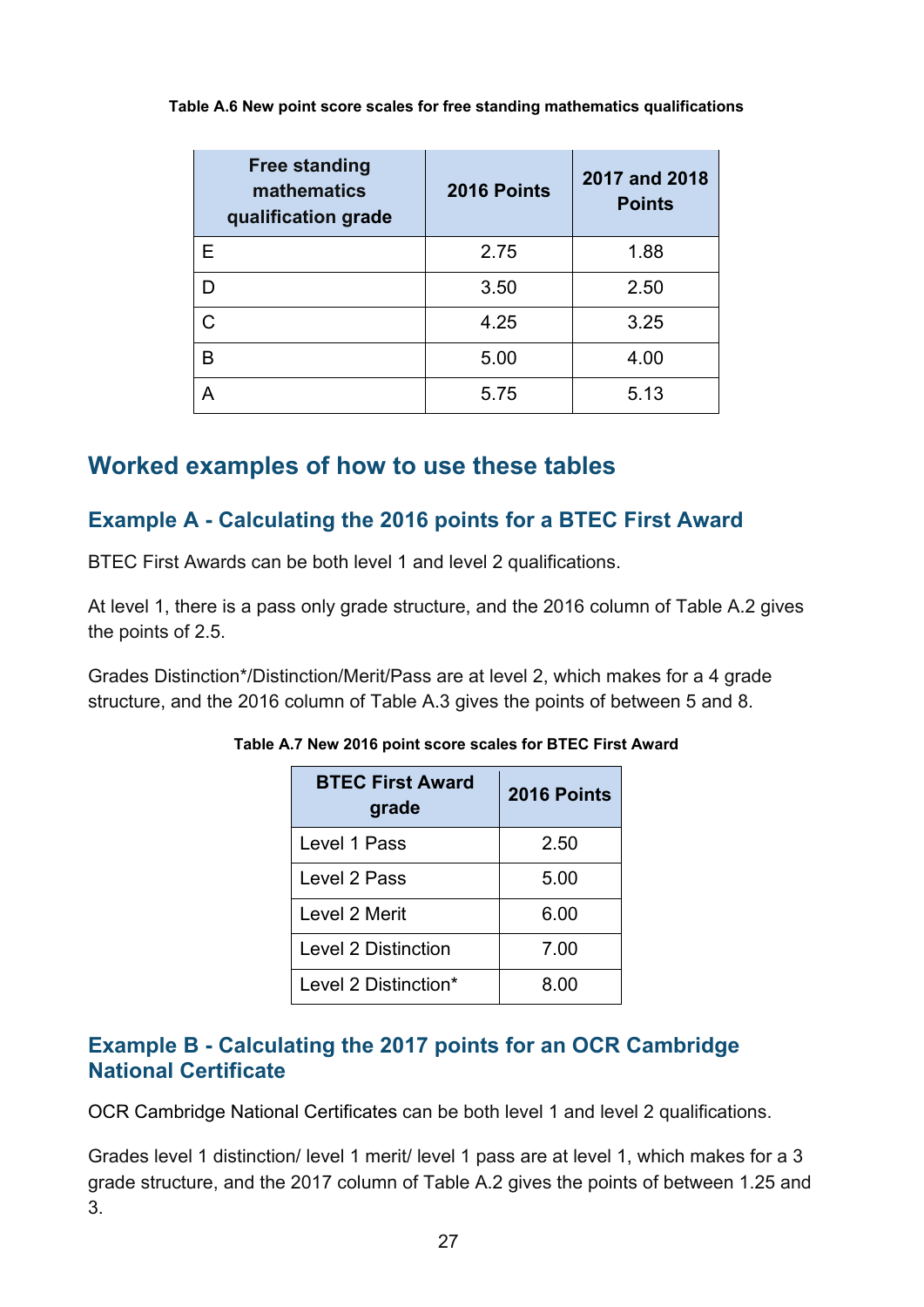| <b>Free standing</b><br>mathematics<br>qualification grade | 2016 Points | 2017 and 2018<br><b>Points</b> |
|------------------------------------------------------------|-------------|--------------------------------|
| Е                                                          | 2.75        | 1.88                           |
| D                                                          | 3.50        | 2.50                           |
| C                                                          | 4.25        | 3.25                           |
| B                                                          | 5.00        | 4.00                           |
| А                                                          | 5.75        | 5.13                           |

#### <span id="page-26-3"></span>**Table A.6 New point score scales for free standing mathematics qualifications**

#### <span id="page-26-0"></span>**Worked examples of how to use these tables**

#### <span id="page-26-1"></span>**Example A - Calculating the 2016 points for a BTEC First Award**

BTEC First Awards can be both level 1 and level 2 qualifications.

At level 1, there is a pass only grade structure, and the 2016 column of Table A.2 gives the points of 2.5.

<span id="page-26-4"></span>Grades Distinction\*/Distinction/Merit/Pass are at level 2, which makes for a 4 grade structure, and the 2016 column of Table A.3 gives the points of between 5 and 8.

| <b>BTEC First Award</b><br>grade | 2016 Points |
|----------------------------------|-------------|
| Level 1 Pass                     | 2.50        |
| Level 2 Pass                     | 5.00        |
| Level 2 Merit                    | 6.00        |
| Level 2 Distinction              | 7.00        |
| Level 2 Distinction*             | 8.00        |

**Table A.7 New 2016 point score scales for BTEC First Award**

#### <span id="page-26-2"></span>**Example B - Calculating the 2017 points for an OCR Cambridge National Certificate**

OCR Cambridge National Certificates can be both level 1 and level 2 qualifications.

Grades level 1 distinction/ level 1 merit/ level 1 pass are at level 1, which makes for a 3 grade structure, and the 2017 column of Table A.2 gives the points of between 1.25 and 3.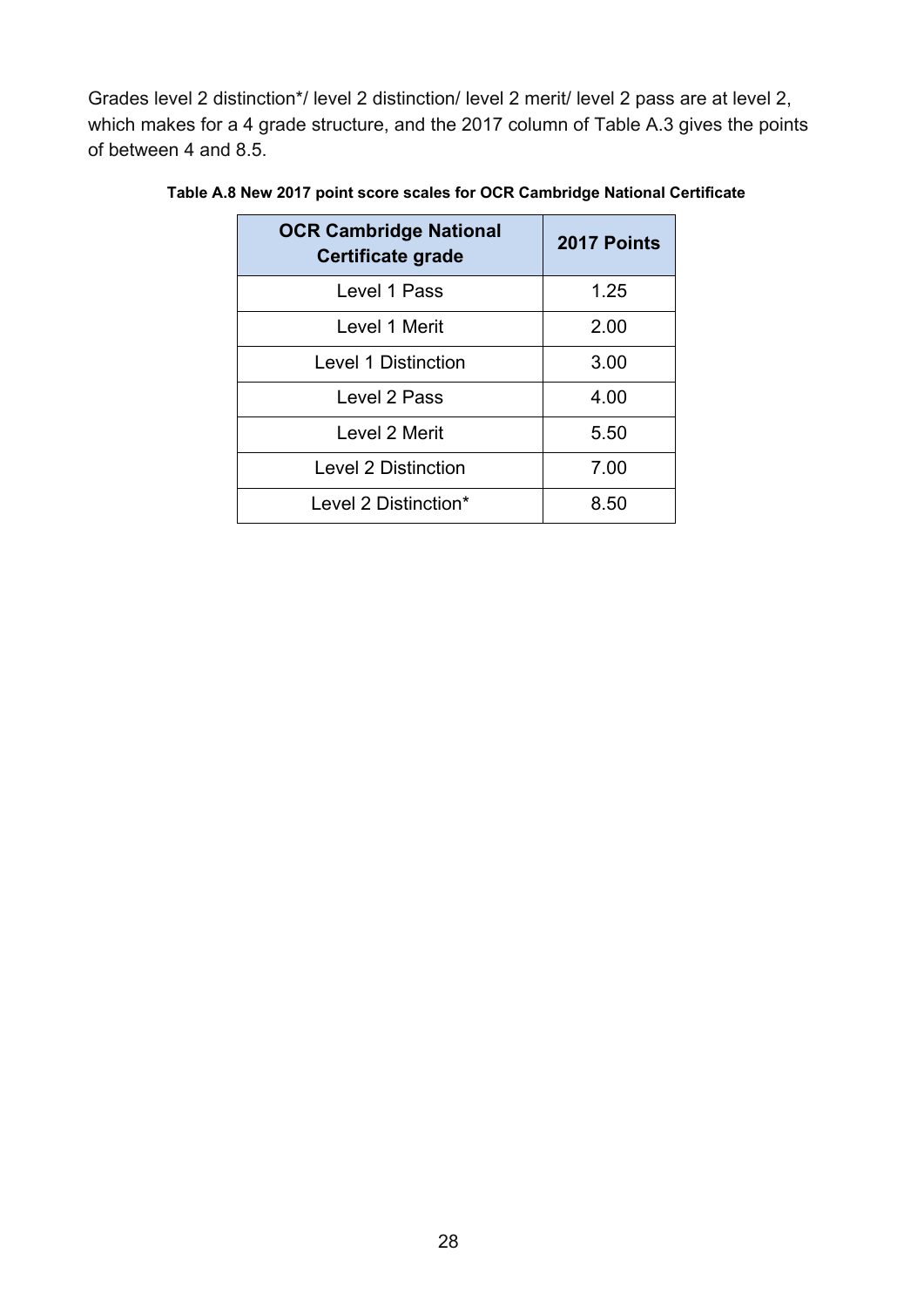Grades level 2 distinction\*/ level 2 distinction/ level 2 merit/ level 2 pass are at level 2, which makes for a 4 grade structure, and the 2017 column of Table A.3 gives the points of between 4 and 8.5.

| <b>OCR Cambridge National</b><br><b>Certificate grade</b> | 2017 Points |
|-----------------------------------------------------------|-------------|
| Level 1 Pass                                              | 1.25        |
| Level 1 Merit                                             | 2.00        |
| <b>Level 1 Distinction</b>                                | 3.00        |
| Level 2 Pass                                              | 4.00        |
| Level 2 Merit                                             | 5.50        |
| Level 2 Distinction                                       | 7.00        |
| Level 2 Distinction*                                      | 8.50        |

<span id="page-27-0"></span>**Table A.8 New 2017 point score scales for OCR Cambridge National Certificate**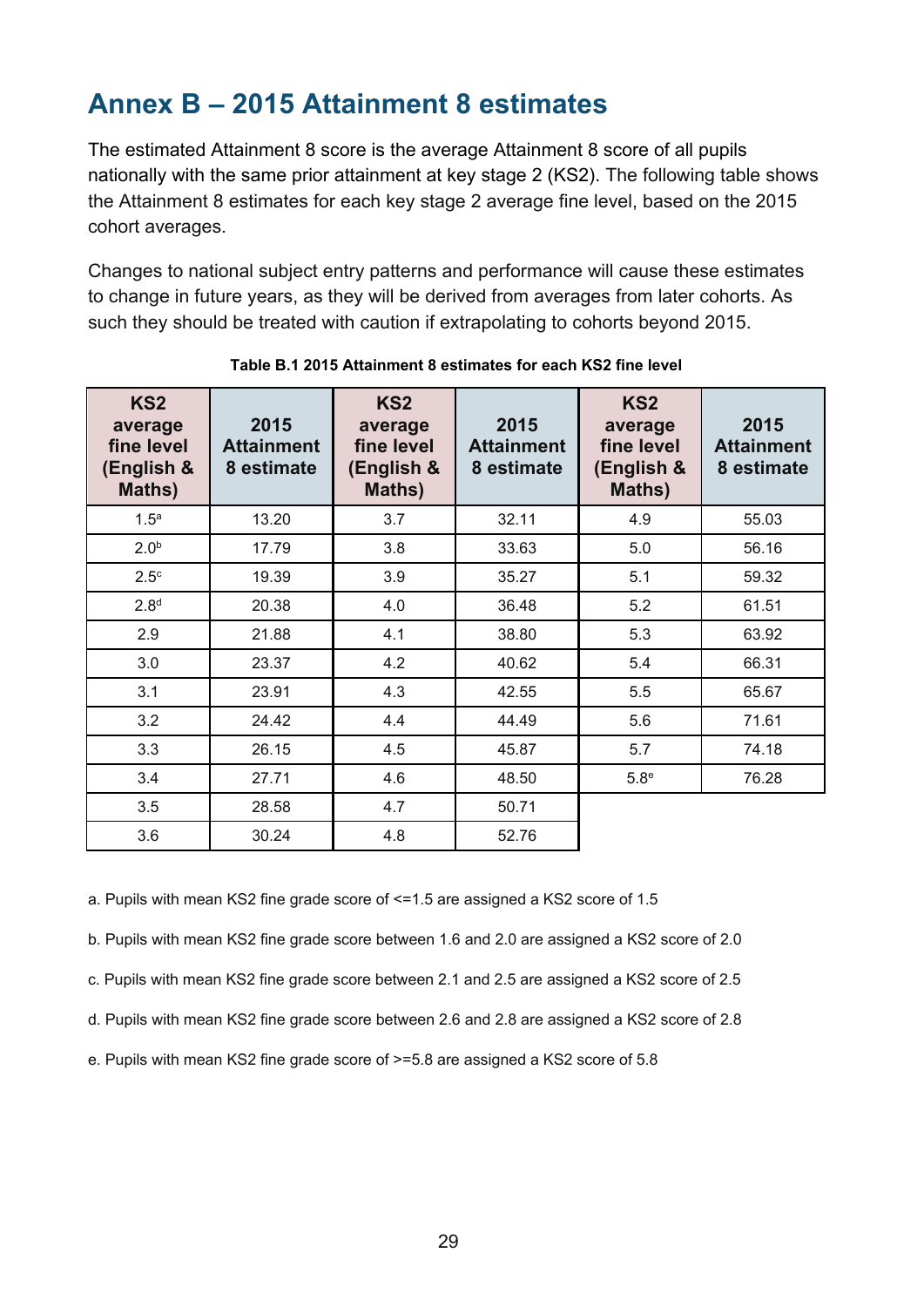# <span id="page-28-0"></span>**Annex B – 2015 Attainment 8 estimates**

The estimated Attainment 8 score is the average Attainment 8 score of all pupils nationally with the same prior attainment at key stage 2 (KS2). The following table shows the Attainment 8 estimates for each key stage 2 average fine level, based on the 2015 cohort averages.

Changes to national subject entry patterns and performance will cause these estimates to change in future years, as they will be derived from averages from later cohorts. As such they should be treated with caution if extrapolating to cohorts beyond 2015.

<span id="page-28-1"></span>

| KS <sub>2</sub><br>average<br>fine level<br>(English &<br>Maths) | 2015<br><b>Attainment</b><br>8 estimate | KS <sub>2</sub><br>average<br>fine level<br>(English &<br>Maths) | 2015<br><b>Attainment</b><br>8 estimate | KS <sub>2</sub><br>average<br>fine level<br>(English &<br>Maths) | 2015<br><b>Attainment</b><br>8 estimate |
|------------------------------------------------------------------|-----------------------------------------|------------------------------------------------------------------|-----------------------------------------|------------------------------------------------------------------|-----------------------------------------|
| 1.5 <sup>a</sup>                                                 | 13.20                                   | 3.7                                                              | 32.11                                   | 4.9                                                              | 55.03                                   |
| 2.0 <sup>b</sup>                                                 | 17.79                                   | 3.8                                                              | 33.63                                   | 5.0                                                              | 56.16                                   |
| 2.5 <sup>c</sup>                                                 | 19.39                                   | 3.9                                                              | 35.27                                   | 5.1                                                              | 59.32                                   |
| 2.8 <sup>d</sup>                                                 | 20.38                                   | 4.0                                                              | 36.48                                   | 5.2                                                              | 61.51                                   |
| 2.9                                                              | 21.88                                   | 4.1                                                              | 38.80                                   | 5.3                                                              | 63.92                                   |
| 3.0                                                              | 23.37                                   | 4.2                                                              | 40.62                                   | 5.4                                                              | 66.31                                   |
| 3.1                                                              | 23.91                                   | 4.3                                                              | 42.55                                   | 5.5                                                              | 65.67                                   |
| 3.2                                                              | 24.42                                   | 4.4                                                              | 44.49                                   | 5.6                                                              | 71.61                                   |
| 3.3                                                              | 26.15                                   | 4.5                                                              | 45.87                                   | 5.7                                                              | 74.18                                   |
| 3.4                                                              | 27.71                                   | 4.6                                                              | 48.50                                   | 5.8 <sup>e</sup>                                                 | 76.28                                   |
| 3.5                                                              | 28.58                                   | 4.7                                                              | 50.71                                   |                                                                  |                                         |
| 3.6                                                              | 30.24                                   | 4.8                                                              | 52.76                                   |                                                                  |                                         |

**Table B.1 2015 Attainment 8 estimates for each KS2 fine level**

a. Pupils with mean KS2 fine grade score of <=1.5 are assigned a KS2 score of 1.5

b. Pupils with mean KS2 fine grade score between 1.6 and 2.0 are assigned a KS2 score of 2.0

c. Pupils with mean KS2 fine grade score between 2.1 and 2.5 are assigned a KS2 score of 2.5

d. Pupils with mean KS2 fine grade score between 2.6 and 2.8 are assigned a KS2 score of 2.8

e. Pupils with mean KS2 fine grade score of >=5.8 are assigned a KS2 score of 5.8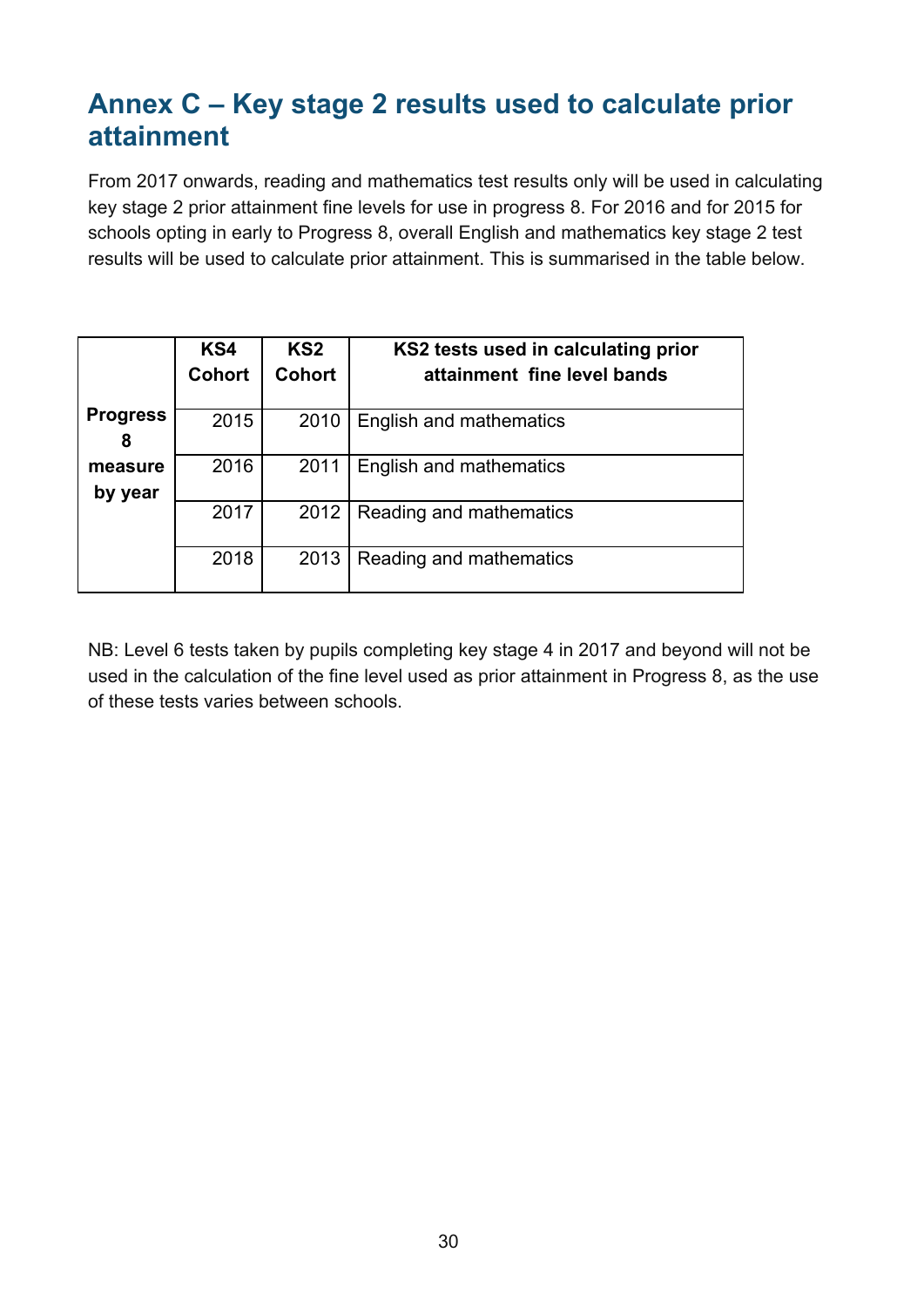# <span id="page-29-0"></span>**Annex C – Key stage 2 results used to calculate prior attainment**

From 2017 onwards, reading and mathematics test results only will be used in calculating key stage 2 prior attainment fine levels for use in progress 8. For 2016 and for 2015 for schools opting in early to Progress 8, overall English and mathematics key stage 2 test results will be used to calculate prior attainment. This is summarised in the table below.

|                      | KS4<br><b>Cohort</b> | KS <sub>2</sub><br><b>Cohort</b> | KS2 tests used in calculating prior<br>attainment fine level bands |
|----------------------|----------------------|----------------------------------|--------------------------------------------------------------------|
| <b>Progress</b><br>8 | 2015                 | 2010                             | English and mathematics                                            |
| measure<br>by year   | 2016                 | 2011                             | English and mathematics                                            |
|                      | 2017                 | 2012                             | Reading and mathematics                                            |
|                      | 2018                 | 2013                             | Reading and mathematics                                            |

NB: Level 6 tests taken by pupils completing key stage 4 in 2017 and beyond will not be used in the calculation of the fine level used as prior attainment in Progress 8, as the use of these tests varies between schools.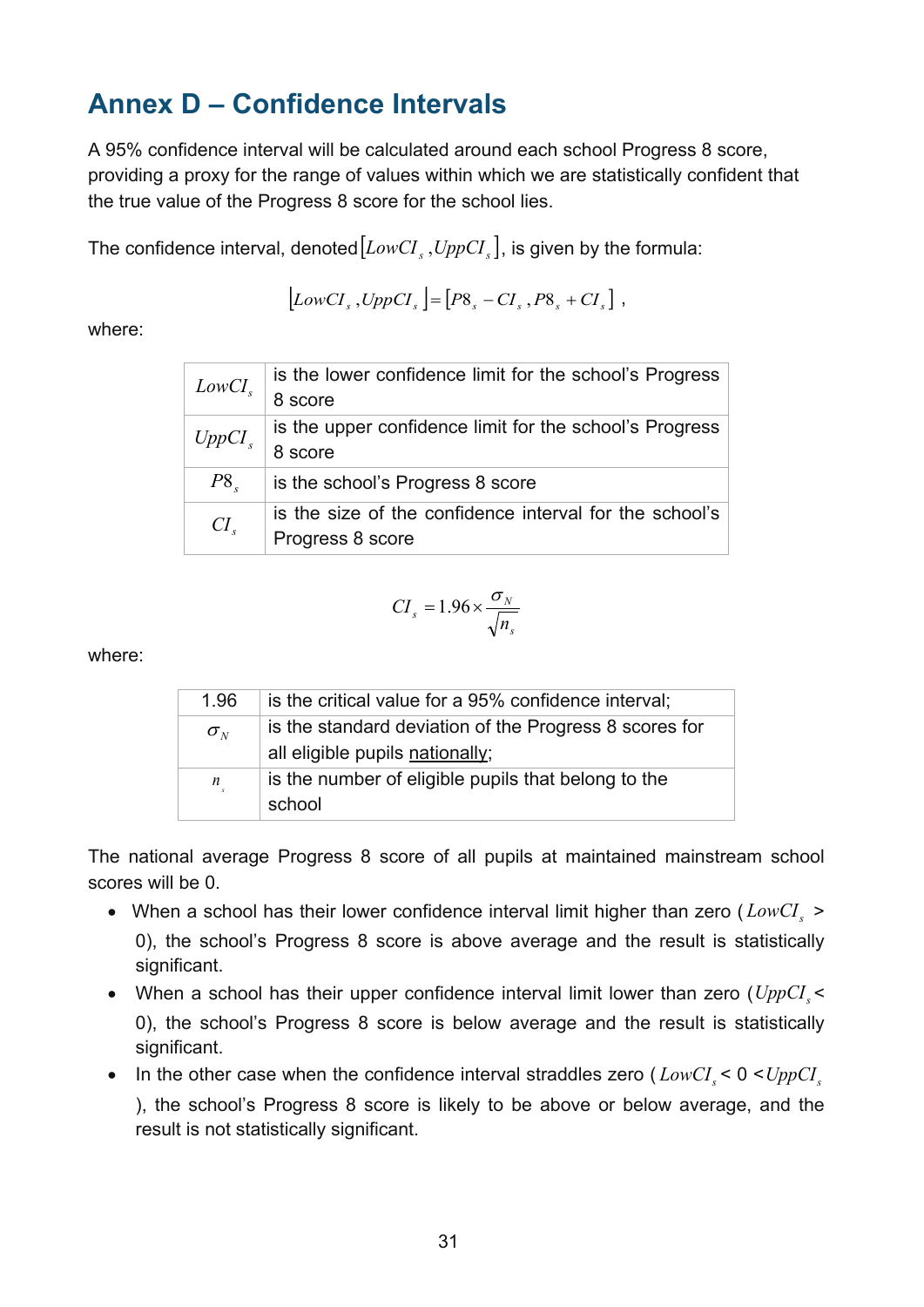# <span id="page-30-0"></span>**Annex D – Confidence Intervals**

A 95% confidence interval will be calculated around each school Progress 8 score, providing a proxy for the range of values within which we are statistically confident that the true value of the Progress 8 score for the school lies.

The confidence interval, denoted  $[LowCI_s, UppCI_s]$ , is given by the formula:

$$
[LowCIs, UppCIs]=[P8s - CIs, P8s + CIs],
$$

where:

| LowCI <sub>s</sub> | is the lower confidence limit for the school's Progress |
|--------------------|---------------------------------------------------------|
|                    | 8 score                                                 |
| UppCI <sub>s</sub> | is the upper confidence limit for the school's Progress |
|                    | 8 score                                                 |
| $P8_{s}$           | is the school's Progress 8 score                        |
| $CI_{s}$           | is the size of the confidence interval for the school's |
|                    | Progress 8 score                                        |

$$
CI_s = 1.96 \times \frac{\sigma_N}{\sqrt{n_s}}
$$

where:

| 1.96                            | is the critical value for a 95% confidence interval;   |
|---------------------------------|--------------------------------------------------------|
| $\sigma_{\scriptscriptstyle N}$ | is the standard deviation of the Progress 8 scores for |
|                                 | all eligible pupils nationally;                        |
| $\boldsymbol{n}$                | is the number of eligible pupils that belong to the    |
|                                 | school                                                 |

The national average Progress 8 score of all pupils at maintained mainstream school scores will be 0.

- When a school has their lower confidence interval limit higher than zero ( $LowCI<sub>s</sub>$ ) 0), the school's Progress 8 score is above average and the result is statistically significant.
- When a school has their upper confidence interval limit lower than zero  $(UppCI, \leq$ 0), the school's Progress 8 score is below average and the result is statistically significant.
- In the other case when the confidence interval straddles zero  $(LowCI<sub>s</sub> < 0 < UppCI<sub>s</sub>$ ), the school's Progress 8 score is likely to be above or below average, and the result is not statistically significant.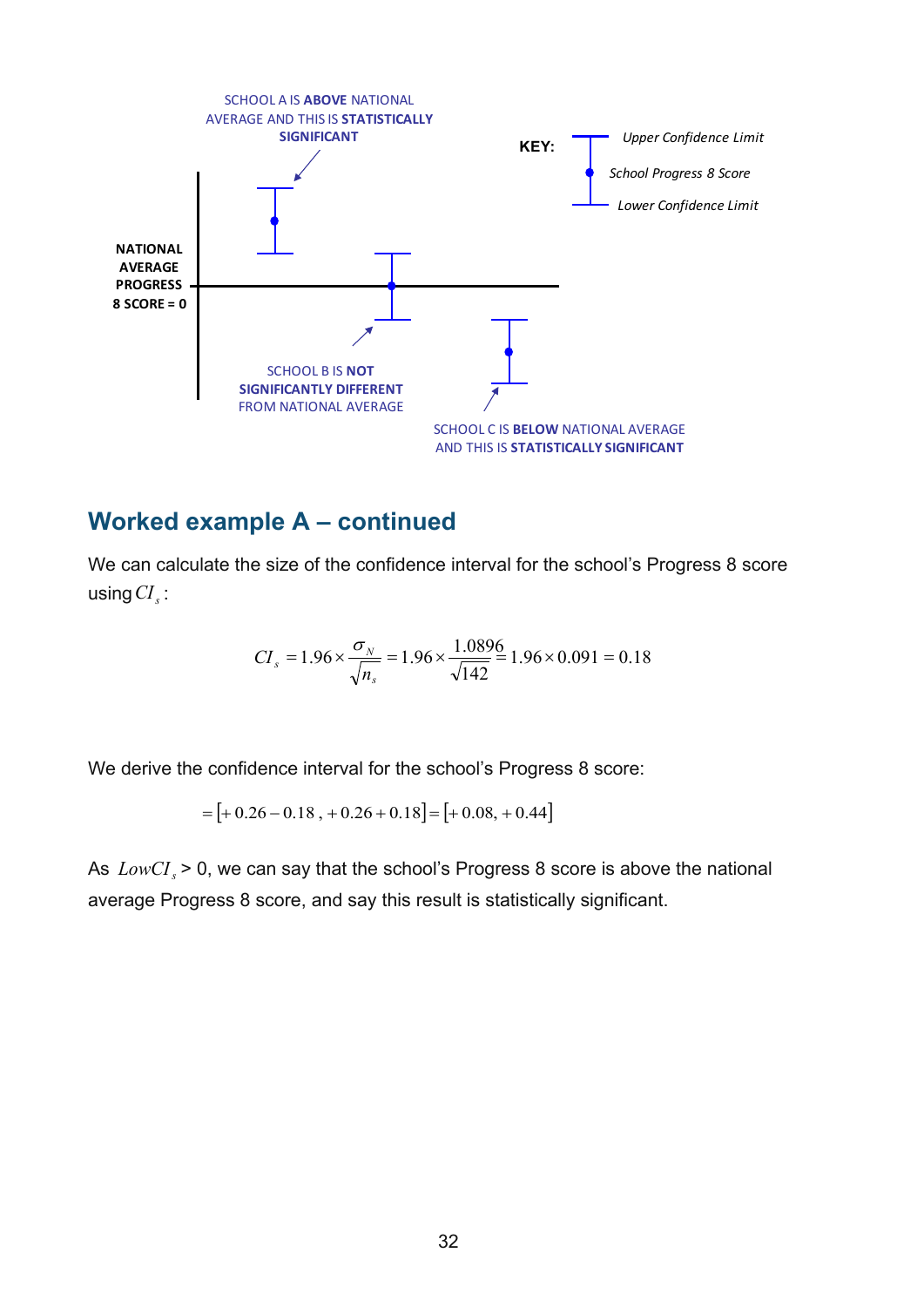

#### <span id="page-31-0"></span>**Worked example A – continued**

We can calculate the size of the confidence interval for the school's Progress 8 score using*CI <sup>s</sup>* :

$$
CI_s = 1.96 \times \frac{\sigma_N}{\sqrt{n_s}} = 1.96 \times \frac{1.0896}{\sqrt{142}} = 1.96 \times 0.091 = 0.18
$$

We derive the confidence interval for the school's Progress 8 score:

 $=[+0.26-0.18, +0.26+0.18] = [+0.08, +0.44]$ 

As *LowCI*, > 0, we can say that the school's Progress 8 score is above the national average Progress 8 score, and say this result is statistically significant.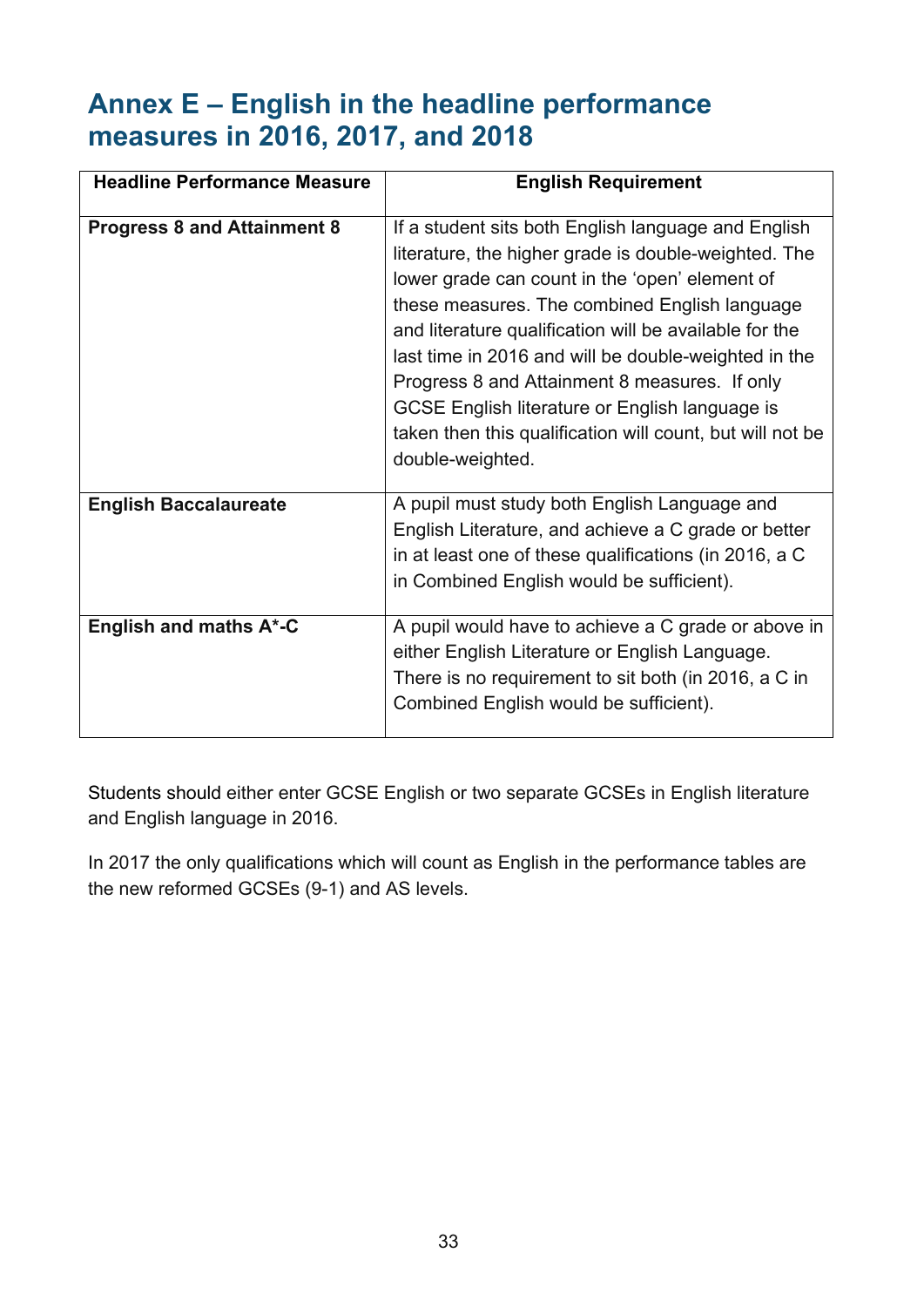# **Annex E – English in the headline performance measures in 2016, 2017, and 2018**

| <b>Headline Performance Measure</b> | <b>English Requirement</b>                                                                                                                                                                                                                                                                                                                                                                                                                                                                                           |
|-------------------------------------|----------------------------------------------------------------------------------------------------------------------------------------------------------------------------------------------------------------------------------------------------------------------------------------------------------------------------------------------------------------------------------------------------------------------------------------------------------------------------------------------------------------------|
| <b>Progress 8 and Attainment 8</b>  | If a student sits both English language and English<br>literature, the higher grade is double-weighted. The<br>lower grade can count in the 'open' element of<br>these measures. The combined English language<br>and literature qualification will be available for the<br>last time in 2016 and will be double-weighted in the<br>Progress 8 and Attainment 8 measures. If only<br>GCSE English literature or English language is<br>taken then this qualification will count, but will not be<br>double-weighted. |
| <b>English Baccalaureate</b>        | A pupil must study both English Language and<br>English Literature, and achieve a C grade or better<br>in at least one of these qualifications (in 2016, a C<br>in Combined English would be sufficient).                                                                                                                                                                                                                                                                                                            |
| English and maths A*-C              | A pupil would have to achieve a C grade or above in<br>either English Literature or English Language.<br>There is no requirement to sit both (in 2016, a C in<br>Combined English would be sufficient).                                                                                                                                                                                                                                                                                                              |

Students should either enter GCSE English or two separate GCSEs in English literature and English language in 2016.

In 2017 the only qualifications which will count as English in the performance tables are the new reformed GCSEs (9-1) and AS levels.